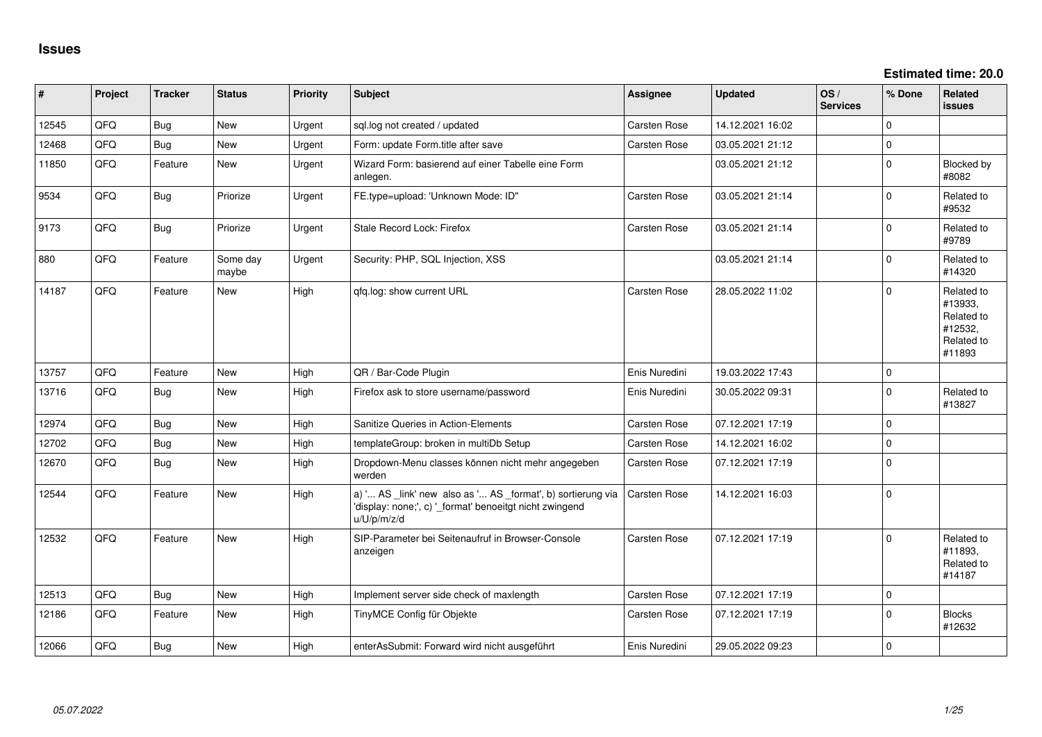**Estimated time: 20.0**

| #     | Project | <b>Tracker</b> | <b>Status</b>     | <b>Priority</b> | <b>Subject</b>                                                                                                                        | Assignee      | <b>Updated</b>   | OS/<br><b>Services</b> | % Done      | Related<br><b>issues</b>                                               |
|-------|---------|----------------|-------------------|-----------------|---------------------------------------------------------------------------------------------------------------------------------------|---------------|------------------|------------------------|-------------|------------------------------------------------------------------------|
| 12545 | QFQ     | <b>Bug</b>     | New               | Urgent          | sql.log not created / updated                                                                                                         | Carsten Rose  | 14.12.2021 16:02 |                        | $\Omega$    |                                                                        |
| 12468 | QFQ     | <b>Bug</b>     | New               | Urgent          | Form: update Form.title after save                                                                                                    | Carsten Rose  | 03.05.2021 21:12 |                        | $\mathbf 0$ |                                                                        |
| 11850 | QFQ     | Feature        | New               | Urgent          | Wizard Form: basierend auf einer Tabelle eine Form<br>anlegen.                                                                        |               | 03.05.2021 21:12 |                        | $\Omega$    | <b>Blocked by</b><br>#8082                                             |
| 9534  | QFQ     | <b>Bug</b>     | Priorize          | Urgent          | FE.type=upload: 'Unknown Mode: ID"                                                                                                    | Carsten Rose  | 03.05.2021 21:14 |                        | $\mathbf 0$ | Related to<br>#9532                                                    |
| 9173  | QFQ     | <b>Bug</b>     | Priorize          | Urgent          | Stale Record Lock: Firefox                                                                                                            | Carsten Rose  | 03.05.2021 21:14 |                        | $\mathbf 0$ | Related to<br>#9789                                                    |
| 880   | QFQ     | Feature        | Some day<br>maybe | Urgent          | Security: PHP, SQL Injection, XSS                                                                                                     |               | 03.05.2021 21:14 |                        | $\mathbf 0$ | Related to<br>#14320                                                   |
| 14187 | QFQ     | Feature        | New               | High            | qfq.log: show current URL                                                                                                             | Carsten Rose  | 28.05.2022 11:02 |                        | $\Omega$    | Related to<br>#13933,<br>Related to<br>#12532,<br>Related to<br>#11893 |
| 13757 | QFQ     | Feature        | <b>New</b>        | High            | QR / Bar-Code Plugin                                                                                                                  | Enis Nuredini | 19.03.2022 17:43 |                        | $\mathbf 0$ |                                                                        |
| 13716 | QFQ     | Bug            | <b>New</b>        | High            | Firefox ask to store username/password                                                                                                | Enis Nuredini | 30.05.2022 09:31 |                        | $\Omega$    | Related to<br>#13827                                                   |
| 12974 | QFQ     | Bug            | <b>New</b>        | High            | Sanitize Queries in Action-Elements                                                                                                   | Carsten Rose  | 07.12.2021 17:19 |                        | $\mathbf 0$ |                                                                        |
| 12702 | QFQ     | <b>Bug</b>     | <b>New</b>        | High            | templateGroup: broken in multiDb Setup                                                                                                | Carsten Rose  | 14.12.2021 16:02 |                        | $\Omega$    |                                                                        |
| 12670 | QFQ     | <b>Bug</b>     | New               | High            | Dropdown-Menu classes können nicht mehr angegeben<br>werden                                                                           | Carsten Rose  | 07.12.2021 17:19 |                        | $\Omega$    |                                                                        |
| 12544 | QFQ     | Feature        | New               | High            | a) ' AS _link' new also as ' AS _format', b) sortierung via<br>'display: none;', c) '_format' benoeitgt nicht zwingend<br>u/U/p/m/z/d | Carsten Rose  | 14.12.2021 16:03 |                        | $\mathbf 0$ |                                                                        |
| 12532 | QFQ     | Feature        | <b>New</b>        | High            | SIP-Parameter bei Seitenaufruf in Browser-Console<br>anzeigen                                                                         | Carsten Rose  | 07.12.2021 17:19 |                        | $\Omega$    | Related to<br>#11893,<br>Related to<br>#14187                          |
| 12513 | QFQ     | Bug            | New               | High            | Implement server side check of maxlength                                                                                              | Carsten Rose  | 07.12.2021 17:19 |                        | $\mathbf 0$ |                                                                        |
| 12186 | QFQ     | Feature        | New               | High            | TinyMCE Config für Objekte                                                                                                            | Carsten Rose  | 07.12.2021 17:19 |                        | $\Omega$    | <b>Blocks</b><br>#12632                                                |
| 12066 | QFQ     | Bug            | <b>New</b>        | High            | enterAsSubmit: Forward wird nicht ausgeführt                                                                                          | Enis Nuredini | 29.05.2022 09:23 |                        | $\Omega$    |                                                                        |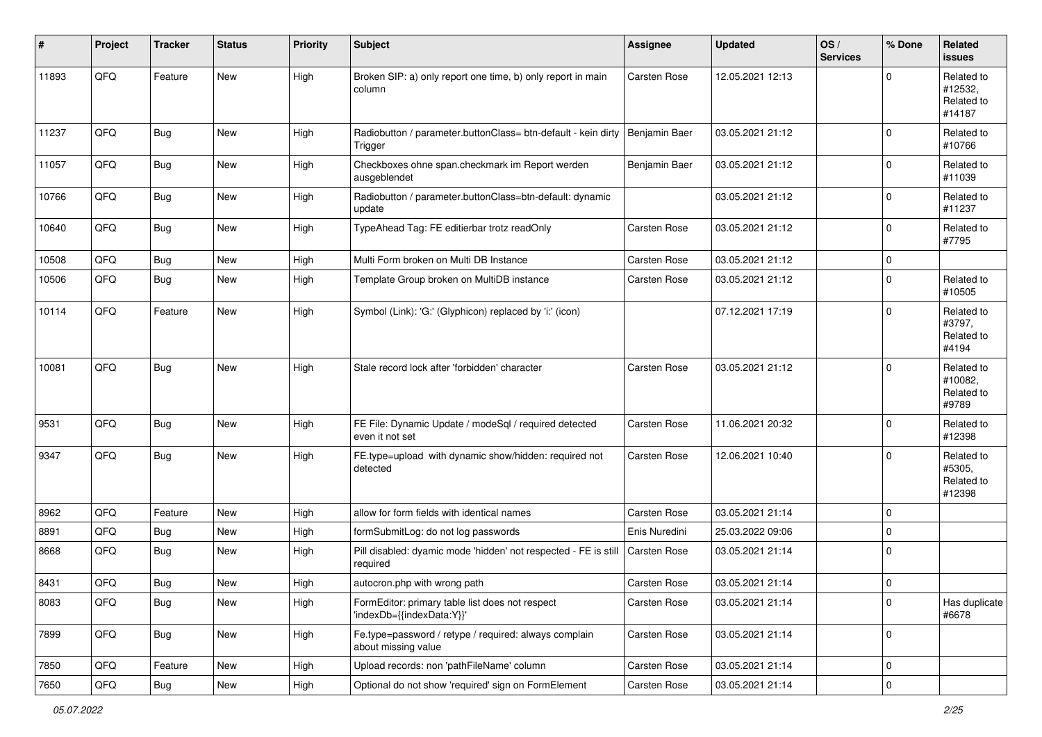| #     | Project        | <b>Tracker</b> | <b>Status</b> | <b>Priority</b> | <b>Subject</b>                                                               | <b>Assignee</b>     | <b>Updated</b>   | OS/<br><b>Services</b> | % Done      | Related<br><b>issues</b>                      |
|-------|----------------|----------------|---------------|-----------------|------------------------------------------------------------------------------|---------------------|------------------|------------------------|-------------|-----------------------------------------------|
| 11893 | QFQ            | Feature        | New           | High            | Broken SIP: a) only report one time, b) only report in main<br>column        | Carsten Rose        | 12.05.2021 12:13 |                        | $\Omega$    | Related to<br>#12532,<br>Related to<br>#14187 |
| 11237 | QFQ            | <b>Bug</b>     | New           | High            | Radiobutton / parameter.buttonClass= btn-default - kein dirty<br>Trigger     | Benjamin Baer       | 03.05.2021 21:12 |                        | 0           | Related to<br>#10766                          |
| 11057 | QFQ            | <b>Bug</b>     | New           | High            | Checkboxes ohne span.checkmark im Report werden<br>ausgeblendet              | Benjamin Baer       | 03.05.2021 21:12 |                        | 0           | Related to<br>#11039                          |
| 10766 | QFQ            | <b>Bug</b>     | <b>New</b>    | High            | Radiobutton / parameter.buttonClass=btn-default: dynamic<br>update           |                     | 03.05.2021 21:12 |                        | 0           | Related to<br>#11237                          |
| 10640 | QFQ            | <b>Bug</b>     | <b>New</b>    | High            | TypeAhead Tag: FE editierbar trotz readOnly                                  | Carsten Rose        | 03.05.2021 21:12 |                        | $\Omega$    | Related to<br>#7795                           |
| 10508 | QFQ            | <b>Bug</b>     | <b>New</b>    | High            | Multi Form broken on Multi DB Instance                                       | Carsten Rose        | 03.05.2021 21:12 |                        | 0           |                                               |
| 10506 | QFQ            | <b>Bug</b>     | New           | High            | Template Group broken on MultiDB instance                                    | Carsten Rose        | 03.05.2021 21:12 |                        | 0           | Related to<br>#10505                          |
| 10114 | QFQ            | Feature        | New           | High            | Symbol (Link): 'G:' (Glyphicon) replaced by 'i:' (icon)                      |                     | 07.12.2021 17:19 |                        | 0           | Related to<br>#3797,<br>Related to<br>#4194   |
| 10081 | QFQ            | <b>Bug</b>     | <b>New</b>    | High            | Stale record lock after 'forbidden' character                                | Carsten Rose        | 03.05.2021 21:12 |                        | $\Omega$    | Related to<br>#10082,<br>Related to<br>#9789  |
| 9531  | QFQ            | <b>Bug</b>     | New           | High            | FE File: Dynamic Update / modeSql / required detected<br>even it not set     | Carsten Rose        | 11.06.2021 20:32 |                        | 0           | Related to<br>#12398                          |
| 9347  | QFQ            | <b>Bug</b>     | <b>New</b>    | High            | FE.type=upload with dynamic show/hidden: required not<br>detected            | Carsten Rose        | 12.06.2021 10:40 |                        | 0           | Related to<br>#5305,<br>Related to<br>#12398  |
| 8962  | QFQ            | Feature        | New           | High            | allow for form fields with identical names                                   | Carsten Rose        | 03.05.2021 21:14 |                        | $\mathbf 0$ |                                               |
| 8891  | QFQ            | <b>Bug</b>     | <b>New</b>    | High            | formSubmitLog: do not log passwords                                          | Enis Nuredini       | 25.03.2022 09:06 |                        | 0           |                                               |
| 8668  | QFQ            | <b>Bug</b>     | <b>New</b>    | High            | Pill disabled: dyamic mode 'hidden' not respected - FE is still<br>required  | Carsten Rose        | 03.05.2021 21:14 |                        | $\Omega$    |                                               |
| 8431  | QFQ            | Bug            | New           | High            | autocron.php with wrong path                                                 | <b>Carsten Rose</b> | 03.05.2021 21:14 |                        | 0           |                                               |
| 8083  | QFQ            | <b>Bug</b>     | New           | High            | FormEditor: primary table list does not respect<br>'indexDb={{indexData:Y}}' | Carsten Rose        | 03.05.2021 21:14 |                        | $\mathbf 0$ | Has duplicate<br>#6678                        |
| 7899  | QFQ            | <b>Bug</b>     | New           | High            | Fe.type=password / retype / required: always complain<br>about missing value | Carsten Rose        | 03.05.2021 21:14 |                        | 0           |                                               |
| 7850  | QFQ            | Feature        | New           | High            | Upload records: non 'pathFileName' column                                    | Carsten Rose        | 03.05.2021 21:14 |                        | 0           |                                               |
| 7650  | $\mathsf{QFQ}$ | i Bug          | New           | High            | Optional do not show 'required' sign on FormElement                          | Carsten Rose        | 03.05.2021 21:14 |                        | 0           |                                               |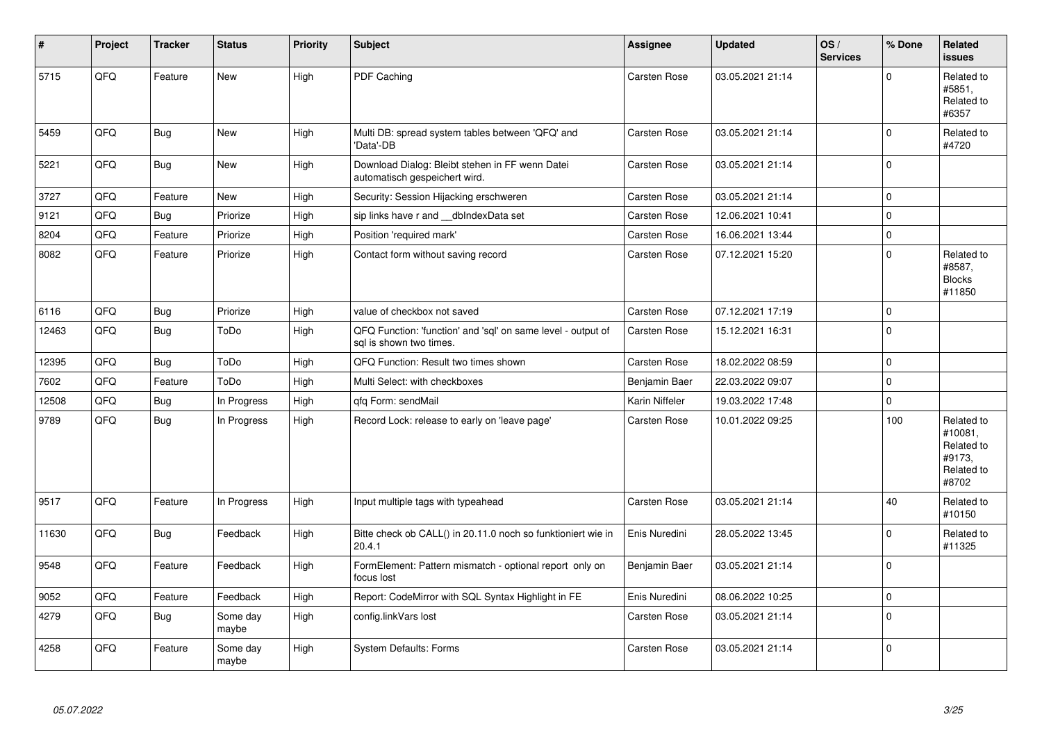| $\pmb{\sharp}$ | Project | <b>Tracker</b> | <b>Status</b>     | <b>Priority</b> | <b>Subject</b>                                                                          | <b>Assignee</b> | <b>Updated</b>   | OS/<br><b>Services</b> | % Done      | <b>Related</b><br>issues                                             |
|----------------|---------|----------------|-------------------|-----------------|-----------------------------------------------------------------------------------------|-----------------|------------------|------------------------|-------------|----------------------------------------------------------------------|
| 5715           | QFQ     | Feature        | New               | High            | PDF Caching                                                                             | Carsten Rose    | 03.05.2021 21:14 |                        | $\Omega$    | Related to<br>#5851,<br>Related to<br>#6357                          |
| 5459           | QFQ     | Bug            | <b>New</b>        | High            | Multi DB: spread system tables between 'QFQ' and<br>'Data'-DB                           | Carsten Rose    | 03.05.2021 21:14 |                        | $\mathbf 0$ | Related to<br>#4720                                                  |
| 5221           | QFQ     | Bug            | New               | High            | Download Dialog: Bleibt stehen in FF wenn Datei<br>automatisch gespeichert wird.        | Carsten Rose    | 03.05.2021 21:14 |                        | $\mathbf 0$ |                                                                      |
| 3727           | QFQ     | Feature        | <b>New</b>        | High            | Security: Session Hijacking erschweren                                                  | Carsten Rose    | 03.05.2021 21:14 |                        | $\Omega$    |                                                                      |
| 9121           | QFQ     | <b>Bug</b>     | Priorize          | High            | sip links have r and __dblndexData set                                                  | Carsten Rose    | 12.06.2021 10:41 |                        | $\mathbf 0$ |                                                                      |
| 8204           | QFQ     | Feature        | Priorize          | High            | Position 'required mark'                                                                | Carsten Rose    | 16.06.2021 13:44 |                        | $\mathbf 0$ |                                                                      |
| 8082           | QFQ     | Feature        | Priorize          | High            | Contact form without saving record                                                      | Carsten Rose    | 07.12.2021 15:20 |                        | $\Omega$    | Related to<br>#8587,<br><b>Blocks</b><br>#11850                      |
| 6116           | QFQ     | Bug            | Priorize          | High            | value of checkbox not saved                                                             | Carsten Rose    | 07.12.2021 17:19 |                        | $\mathbf 0$ |                                                                      |
| 12463          | QFQ     | Bug            | ToDo              | High            | QFQ Function: 'function' and 'sql' on same level - output of<br>sal is shown two times. | Carsten Rose    | 15.12.2021 16:31 |                        | $\Omega$    |                                                                      |
| 12395          | QFQ     | <b>Bug</b>     | ToDo              | High            | QFQ Function: Result two times shown                                                    | Carsten Rose    | 18.02.2022 08:59 |                        | $\Omega$    |                                                                      |
| 7602           | QFQ     | Feature        | ToDo              | High            | Multi Select: with checkboxes                                                           | Benjamin Baer   | 22.03.2022 09:07 |                        | $\mathbf 0$ |                                                                      |
| 12508          | QFQ     | Bug            | In Progress       | High            | gfg Form: sendMail                                                                      | Karin Niffeler  | 19.03.2022 17:48 |                        | $\mathbf 0$ |                                                                      |
| 9789           | QFQ     | <b>Bug</b>     | In Progress       | High            | Record Lock: release to early on 'leave page'                                           | Carsten Rose    | 10.01.2022 09:25 |                        | 100         | Related to<br>#10081,<br>Related to<br>#9173,<br>Related to<br>#8702 |
| 9517           | QFQ     | Feature        | In Progress       | High            | Input multiple tags with typeahead                                                      | Carsten Rose    | 03.05.2021 21:14 |                        | 40          | Related to<br>#10150                                                 |
| 11630          | QFQ     | Bug            | Feedback          | High            | Bitte check ob CALL() in 20.11.0 noch so funktioniert wie in<br>20.4.1                  | Enis Nuredini   | 28.05.2022 13:45 |                        | $\Omega$    | Related to<br>#11325                                                 |
| 9548           | QFQ     | Feature        | Feedback          | High            | FormElement: Pattern mismatch - optional report only on<br>focus lost                   | Benjamin Baer   | 03.05.2021 21:14 |                        | $\Omega$    |                                                                      |
| 9052           | QFQ     | Feature        | Feedback          | High            | Report: CodeMirror with SQL Syntax Highlight in FE                                      | Enis Nuredini   | 08.06.2022 10:25 |                        | $\mathbf 0$ |                                                                      |
| 4279           | QFQ     | <b>Bug</b>     | Some day<br>maybe | High            | config.linkVars lost                                                                    | Carsten Rose    | 03.05.2021 21:14 |                        | $\Omega$    |                                                                      |
| 4258           | QFQ     | Feature        | Some day<br>maybe | High            | <b>System Defaults: Forms</b>                                                           | Carsten Rose    | 03.05.2021 21:14 |                        | $\Omega$    |                                                                      |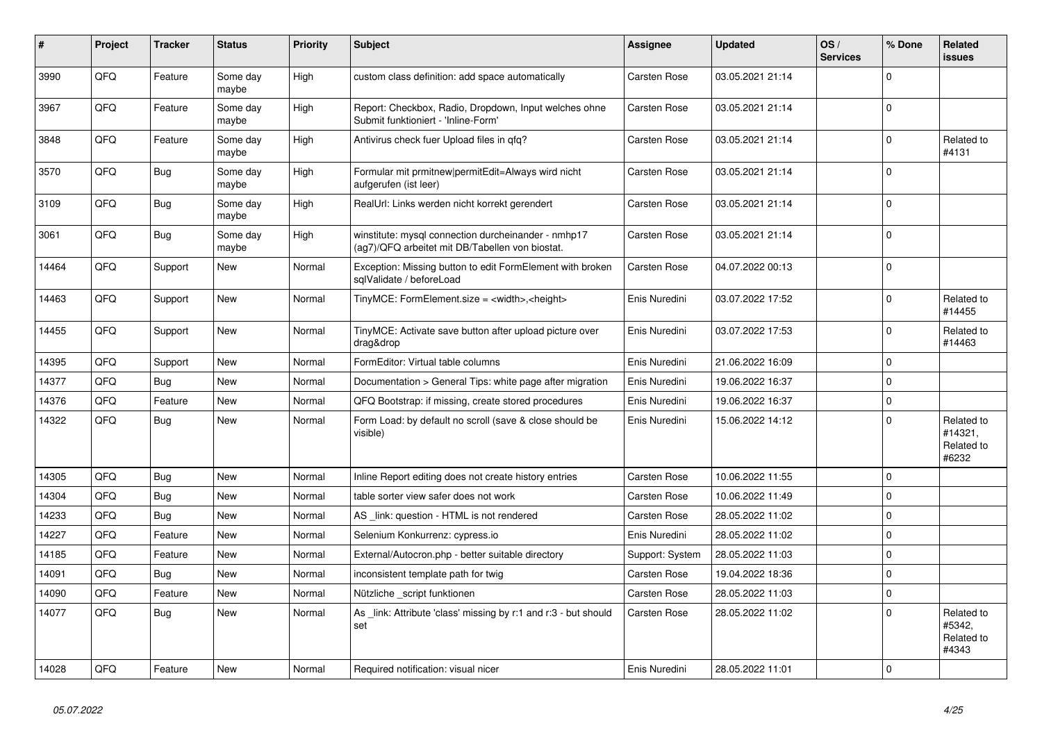| #     | Project | <b>Tracker</b> | <b>Status</b>     | <b>Priority</b> | <b>Subject</b>                                                                                         | Assignee        | <b>Updated</b>   | OS/<br><b>Services</b> | % Done      | Related<br>issues                            |
|-------|---------|----------------|-------------------|-----------------|--------------------------------------------------------------------------------------------------------|-----------------|------------------|------------------------|-------------|----------------------------------------------|
| 3990  | QFQ     | Feature        | Some day<br>maybe | High            | custom class definition: add space automatically                                                       | Carsten Rose    | 03.05.2021 21:14 |                        | $\Omega$    |                                              |
| 3967  | QFQ     | Feature        | Some day<br>maybe | High            | Report: Checkbox, Radio, Dropdown, Input welches ohne<br>Submit funktioniert - 'Inline-Form'           | Carsten Rose    | 03.05.2021 21:14 |                        | 0           |                                              |
| 3848  | QFQ     | Feature        | Some day<br>maybe | High            | Antivirus check fuer Upload files in qfq?                                                              | Carsten Rose    | 03.05.2021 21:14 |                        | 0           | Related to<br>#4131                          |
| 3570  | QFQ     | Bug            | Some day<br>maybe | High            | Formular mit prmitnew permitEdit=Always wird nicht<br>aufgerufen (ist leer)                            | Carsten Rose    | 03.05.2021 21:14 |                        | $\Omega$    |                                              |
| 3109  | QFQ     | Bug            | Some day<br>maybe | High            | RealUrl: Links werden nicht korrekt gerendert                                                          | Carsten Rose    | 03.05.2021 21:14 |                        | 0           |                                              |
| 3061  | QFQ     | <b>Bug</b>     | Some day<br>maybe | High            | winstitute: mysql connection durcheinander - nmhp17<br>(ag7)/QFQ arbeitet mit DB/Tabellen von biostat. | Carsten Rose    | 03.05.2021 21:14 |                        | 0           |                                              |
| 14464 | QFQ     | Support        | <b>New</b>        | Normal          | Exception: Missing button to edit FormElement with broken<br>sglValidate / beforeLoad                  | Carsten Rose    | 04.07.2022 00:13 |                        | 0           |                                              |
| 14463 | QFQ     | Support        | <b>New</b>        | Normal          | TinyMCE: FormElement.size = <width>,<height></height></width>                                          | Enis Nuredini   | 03.07.2022 17:52 |                        | $\Omega$    | Related to<br>#14455                         |
| 14455 | QFQ     | Support        | <b>New</b>        | Normal          | TinyMCE: Activate save button after upload picture over<br>drag&drop                                   | Enis Nuredini   | 03.07.2022 17:53 |                        | $\Omega$    | Related to<br>#14463                         |
| 14395 | QFQ     | Support        | <b>New</b>        | Normal          | FormEditor: Virtual table columns                                                                      | Enis Nuredini   | 21.06.2022 16:09 |                        | 0           |                                              |
| 14377 | QFQ     | Bug            | <b>New</b>        | Normal          | Documentation > General Tips: white page after migration                                               | Enis Nuredini   | 19.06.2022 16:37 |                        | $\mathbf 0$ |                                              |
| 14376 | QFQ     | Feature        | <b>New</b>        | Normal          | QFQ Bootstrap: if missing, create stored procedures                                                    | Enis Nuredini   | 19.06.2022 16:37 |                        | 0           |                                              |
| 14322 | QFQ     | <b>Bug</b>     | <b>New</b>        | Normal          | Form Load: by default no scroll (save & close should be<br>visible)                                    | Enis Nuredini   | 15.06.2022 14:12 |                        | $\Omega$    | Related to<br>#14321,<br>Related to<br>#6232 |
| 14305 | QFQ     | Bug            | <b>New</b>        | Normal          | Inline Report editing does not create history entries                                                  | Carsten Rose    | 10.06.2022 11:55 |                        | 0           |                                              |
| 14304 | QFQ     | Bug            | <b>New</b>        | Normal          | table sorter view safer does not work                                                                  | Carsten Rose    | 10.06.2022 11:49 |                        | $\Omega$    |                                              |
| 14233 | QFQ     | Bug            | New               | Normal          | AS _link: question - HTML is not rendered                                                              | Carsten Rose    | 28.05.2022 11:02 |                        | 0           |                                              |
| 14227 | QFQ     | Feature        | New               | Normal          | Selenium Konkurrenz: cypress.io                                                                        | Enis Nuredini   | 28.05.2022 11:02 |                        | $\Omega$    |                                              |
| 14185 | QFQ     | Feature        | <b>New</b>        | Normal          | External/Autocron.php - better suitable directory                                                      | Support: System | 28.05.2022 11:03 |                        | 0           |                                              |
| 14091 | QFQ     | Bug            | <b>New</b>        | Normal          | inconsistent template path for twig                                                                    | Carsten Rose    | 19.04.2022 18:36 |                        | $\Omega$    |                                              |
| 14090 | QFQ     | Feature        | New               | Normal          | Nützliche _script funktionen                                                                           | Carsten Rose    | 28.05.2022 11:03 |                        | 0           |                                              |
| 14077 | QFQ     | <b>Bug</b>     | New               | Normal          | As _link: Attribute 'class' missing by r:1 and r:3 - but should<br>set                                 | Carsten Rose    | 28.05.2022 11:02 |                        | $\Omega$    | Related to<br>#5342,<br>Related to<br>#4343  |
| 14028 | QFQ     | Feature        | New               | Normal          | Required notification: visual nicer                                                                    | Enis Nuredini   | 28.05.2022 11:01 |                        | $\mathbf 0$ |                                              |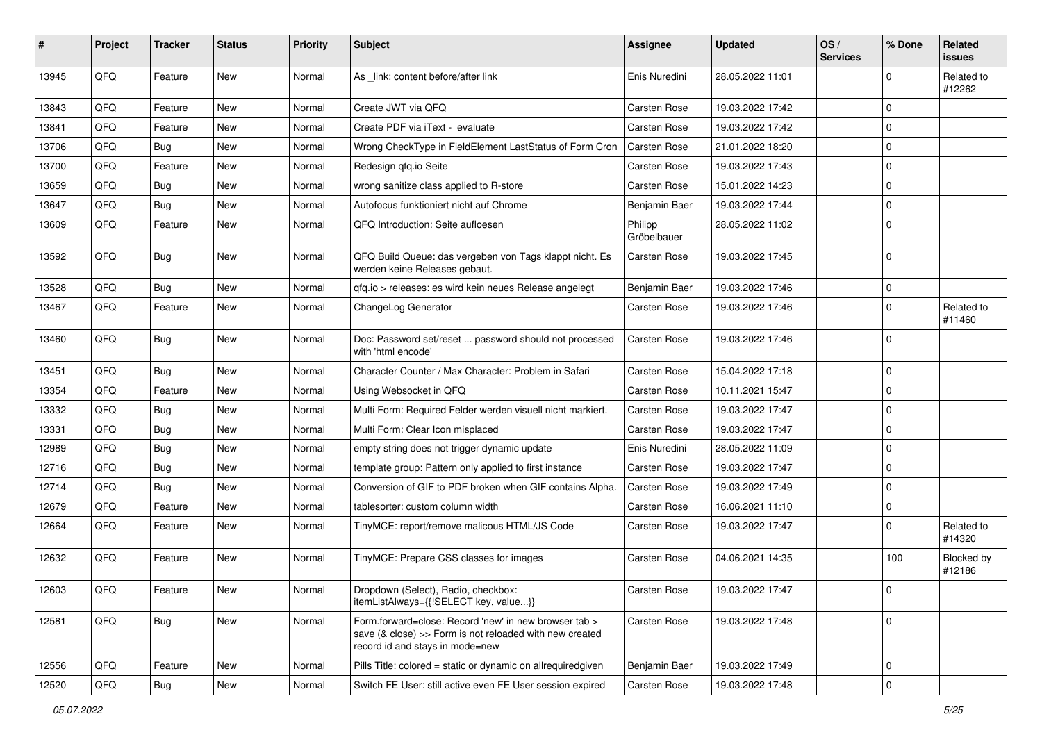| #     | Project | <b>Tracker</b> | <b>Status</b> | <b>Priority</b> | <b>Subject</b>                                                                                                                                      | <b>Assignee</b>        | <b>Updated</b>   | OS/<br><b>Services</b> | % Done      | Related<br><b>issues</b> |
|-------|---------|----------------|---------------|-----------------|-----------------------------------------------------------------------------------------------------------------------------------------------------|------------------------|------------------|------------------------|-------------|--------------------------|
| 13945 | QFQ     | Feature        | <b>New</b>    | Normal          | As link: content before/after link                                                                                                                  | Enis Nuredini          | 28.05.2022 11:01 |                        | $\Omega$    | Related to<br>#12262     |
| 13843 | QFQ     | Feature        | <b>New</b>    | Normal          | Create JWT via QFQ                                                                                                                                  | <b>Carsten Rose</b>    | 19.03.2022 17:42 |                        | $\Omega$    |                          |
| 13841 | QFQ     | Feature        | <b>New</b>    | Normal          | Create PDF via iText - evaluate                                                                                                                     | <b>Carsten Rose</b>    | 19.03.2022 17:42 |                        | $\mathbf 0$ |                          |
| 13706 | QFQ     | <b>Bug</b>     | <b>New</b>    | Normal          | Wrong CheckType in FieldElement LastStatus of Form Cron                                                                                             | <b>Carsten Rose</b>    | 21.01.2022 18:20 |                        | $\mathbf 0$ |                          |
| 13700 | QFQ     | Feature        | New           | Normal          | Redesign qfq.io Seite                                                                                                                               | Carsten Rose           | 19.03.2022 17:43 |                        | $\mathbf 0$ |                          |
| 13659 | QFQ     | <b>Bug</b>     | <b>New</b>    | Normal          | wrong sanitize class applied to R-store                                                                                                             | <b>Carsten Rose</b>    | 15.01.2022 14:23 |                        | $\mathbf 0$ |                          |
| 13647 | QFQ     | <b>Bug</b>     | <b>New</b>    | Normal          | Autofocus funktioniert nicht auf Chrome                                                                                                             | Benjamin Baer          | 19.03.2022 17:44 |                        | $\Omega$    |                          |
| 13609 | QFQ     | Feature        | New           | Normal          | QFQ Introduction: Seite aufloesen                                                                                                                   | Philipp<br>Gröbelbauer | 28.05.2022 11:02 |                        | $\mathbf 0$ |                          |
| 13592 | QFQ     | <b>Bug</b>     | New           | Normal          | QFQ Build Queue: das vergeben von Tags klappt nicht. Es<br>werden keine Releases gebaut.                                                            | <b>Carsten Rose</b>    | 19.03.2022 17:45 |                        | $\mathbf 0$ |                          |
| 13528 | QFQ     | Bug            | <b>New</b>    | Normal          | qfq.io > releases: es wird kein neues Release angelegt                                                                                              | Benjamin Baer          | 19.03.2022 17:46 |                        | $\mathbf 0$ |                          |
| 13467 | QFQ     | Feature        | New           | Normal          | ChangeLog Generator                                                                                                                                 | Carsten Rose           | 19.03.2022 17:46 |                        | $\Omega$    | Related to<br>#11460     |
| 13460 | QFQ     | Bug            | <b>New</b>    | Normal          | Doc: Password set/reset  password should not processed<br>with 'html encode'                                                                        | Carsten Rose           | 19.03.2022 17:46 |                        | $\Omega$    |                          |
| 13451 | QFQ     | Bug            | <b>New</b>    | Normal          | Character Counter / Max Character: Problem in Safari                                                                                                | Carsten Rose           | 15.04.2022 17:18 |                        | $\mathbf 0$ |                          |
| 13354 | QFQ     | Feature        | New           | Normal          | Using Websocket in QFQ                                                                                                                              | <b>Carsten Rose</b>    | 10.11.2021 15:47 |                        | $\mathbf 0$ |                          |
| 13332 | QFQ     | Bug            | <b>New</b>    | Normal          | Multi Form: Required Felder werden visuell nicht markiert.                                                                                          | <b>Carsten Rose</b>    | 19.03.2022 17:47 |                        | $\mathbf 0$ |                          |
| 13331 | QFQ     | Bug            | <b>New</b>    | Normal          | Multi Form: Clear Icon misplaced                                                                                                                    | Carsten Rose           | 19.03.2022 17:47 |                        | $\mathbf 0$ |                          |
| 12989 | QFQ     | Bug            | <b>New</b>    | Normal          | empty string does not trigger dynamic update                                                                                                        | Enis Nuredini          | 28.05.2022 11:09 |                        | $\mathbf 0$ |                          |
| 12716 | QFQ     | <b>Bug</b>     | <b>New</b>    | Normal          | template group: Pattern only applied to first instance                                                                                              | <b>Carsten Rose</b>    | 19.03.2022 17:47 |                        | $\mathbf 0$ |                          |
| 12714 | QFQ     | <b>Bug</b>     | <b>New</b>    | Normal          | Conversion of GIF to PDF broken when GIF contains Alpha.                                                                                            | <b>Carsten Rose</b>    | 19.03.2022 17:49 |                        | $\Omega$    |                          |
| 12679 | QFQ     | Feature        | New           | Normal          | tablesorter: custom column width                                                                                                                    | <b>Carsten Rose</b>    | 16.06.2021 11:10 |                        | $\mathbf 0$ |                          |
| 12664 | QFQ     | Feature        | New           | Normal          | TinyMCE: report/remove malicous HTML/JS Code                                                                                                        | Carsten Rose           | 19.03.2022 17:47 |                        | $\Omega$    | Related to<br>#14320     |
| 12632 | QFQ     | Feature        | <b>New</b>    | Normal          | TinyMCE: Prepare CSS classes for images                                                                                                             | Carsten Rose           | 04.06.2021 14:35 |                        | 100         | Blocked by<br>#12186     |
| 12603 | QFQ     | Feature        | New           | Normal          | Dropdown (Select), Radio, checkbox:<br>itemListAlways={{!SELECT key, value}}                                                                        | Carsten Rose           | 19.03.2022 17:47 |                        | $\pmb{0}$   |                          |
| 12581 | QFQ     | Bug            | New           | Normal          | Form.forward=close: Record 'new' in new browser tab ><br>save (& close) >> Form is not reloaded with new created<br>record id and stays in mode=new | Carsten Rose           | 19.03.2022 17:48 |                        | $\mathbf 0$ |                          |
| 12556 | QFQ     | Feature        | New           | Normal          | Pills Title: colored = static or dynamic on allrequiredgiven                                                                                        | Benjamin Baer          | 19.03.2022 17:49 |                        | $\mathbf 0$ |                          |
| 12520 | QFQ     | <b>Bug</b>     | New           | Normal          | Switch FE User: still active even FE User session expired                                                                                           | Carsten Rose           | 19.03.2022 17:48 |                        | $\pmb{0}$   |                          |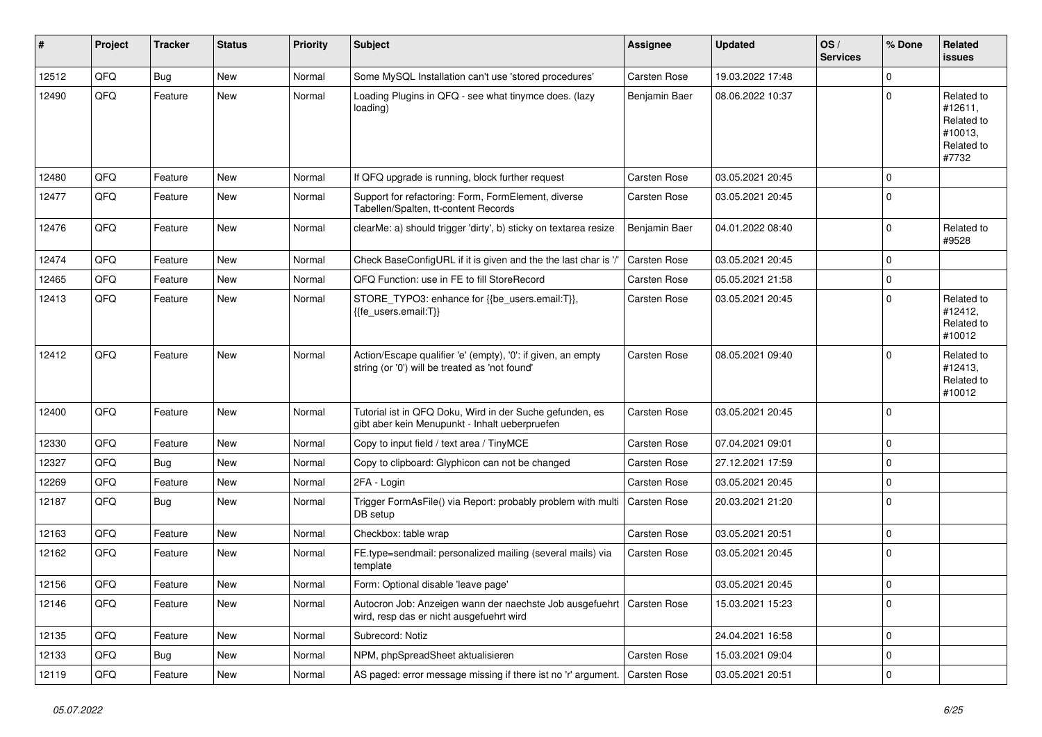| $\sharp$ | Project | <b>Tracker</b> | <b>Status</b> | <b>Priority</b> | <b>Subject</b>                                                                                                      | <b>Assignee</b> | <b>Updated</b>   | OS/<br><b>Services</b> | % Done      | Related<br><b>issues</b>                                              |
|----------|---------|----------------|---------------|-----------------|---------------------------------------------------------------------------------------------------------------------|-----------------|------------------|------------------------|-------------|-----------------------------------------------------------------------|
| 12512    | QFQ     | <b>Bug</b>     | <b>New</b>    | Normal          | Some MySQL Installation can't use 'stored procedures'                                                               | Carsten Rose    | 19.03.2022 17:48 |                        | $\Omega$    |                                                                       |
| 12490    | QFQ     | Feature        | New           | Normal          | Loading Plugins in QFQ - see what tinymce does. (lazy<br>loading)                                                   | Benjamin Baer   | 08.06.2022 10:37 |                        | $\Omega$    | Related to<br>#12611,<br>Related to<br>#10013,<br>Related to<br>#7732 |
| 12480    | QFQ     | Feature        | <b>New</b>    | Normal          | If QFQ upgrade is running, block further request                                                                    | Carsten Rose    | 03.05.2021 20:45 |                        | $\Omega$    |                                                                       |
| 12477    | QFQ     | Feature        | <b>New</b>    | Normal          | Support for refactoring: Form, FormElement, diverse<br>Tabellen/Spalten, tt-content Records                         | Carsten Rose    | 03.05.2021 20:45 |                        | $\mathbf 0$ |                                                                       |
| 12476    | QFQ     | Feature        | <b>New</b>    | Normal          | clearMe: a) should trigger 'dirty', b) sticky on textarea resize                                                    | Benjamin Baer   | 04.01.2022 08:40 |                        | $\Omega$    | Related to<br>#9528                                                   |
| 12474    | QFQ     | Feature        | <b>New</b>    | Normal          | Check BaseConfigURL if it is given and the the last char is '/'                                                     | Carsten Rose    | 03.05.2021 20:45 |                        | $\mathbf 0$ |                                                                       |
| 12465    | QFQ     | Feature        | New           | Normal          | QFQ Function: use in FE to fill StoreRecord                                                                         | Carsten Rose    | 05.05.2021 21:58 |                        | $\mathbf 0$ |                                                                       |
| 12413    | QFQ     | Feature        | <b>New</b>    | Normal          | STORE_TYPO3: enhance for {{be_users.email:T}},<br>{{fe users.email:T}}                                              | Carsten Rose    | 03.05.2021 20:45 |                        | $\Omega$    | Related to<br>#12412,<br>Related to<br>#10012                         |
| 12412    | QFQ     | Feature        | New           | Normal          | Action/Escape qualifier 'e' (empty), '0': if given, an empty<br>string (or '0') will be treated as 'not found'      | Carsten Rose    | 08.05.2021 09:40 |                        | $\Omega$    | Related to<br>#12413,<br>Related to<br>#10012                         |
| 12400    | QFQ     | Feature        | <b>New</b>    | Normal          | Tutorial ist in QFQ Doku, Wird in der Suche gefunden, es<br>gibt aber kein Menupunkt - Inhalt ueberpruefen          | Carsten Rose    | 03.05.2021 20:45 |                        | $\mathbf 0$ |                                                                       |
| 12330    | QFQ     | Feature        | <b>New</b>    | Normal          | Copy to input field / text area / TinyMCE                                                                           | Carsten Rose    | 07.04.2021 09:01 |                        | $\mathbf 0$ |                                                                       |
| 12327    | QFQ     | <b>Bug</b>     | <b>New</b>    | Normal          | Copy to clipboard: Glyphicon can not be changed                                                                     | Carsten Rose    | 27.12.2021 17:59 |                        | $\mathbf 0$ |                                                                       |
| 12269    | QFQ     | Feature        | <b>New</b>    | Normal          | 2FA - Login                                                                                                         | Carsten Rose    | 03.05.2021 20:45 |                        | $\pmb{0}$   |                                                                       |
| 12187    | QFQ     | Bug            | New           | Normal          | Trigger FormAsFile() via Report: probably problem with multi<br>DB setup                                            | Carsten Rose    | 20.03.2021 21:20 |                        | $\mathbf 0$ |                                                                       |
| 12163    | QFQ     | Feature        | New           | Normal          | Checkbox: table wrap                                                                                                | Carsten Rose    | 03.05.2021 20:51 |                        | $\mathbf 0$ |                                                                       |
| 12162    | QFQ     | Feature        | New           | Normal          | FE.type=sendmail: personalized mailing (several mails) via<br>template                                              | Carsten Rose    | 03.05.2021 20:45 |                        | $\mathbf 0$ |                                                                       |
| 12156    | QFQ     | Feature        | New           | Normal          | Form: Optional disable 'leave page'                                                                                 |                 | 03.05.2021 20:45 |                        | $\mathbf 0$ |                                                                       |
| 12146    | QFQ     | Feature        | New           | Normal          | Autocron Job: Anzeigen wann der naechste Job ausgefuehrt   Carsten Rose<br>wird, resp das er nicht ausgefuehrt wird |                 | 15.03.2021 15:23 |                        | $\mathbf 0$ |                                                                       |
| 12135    | QFQ     | Feature        | New           | Normal          | Subrecord: Notiz                                                                                                    |                 | 24.04.2021 16:58 |                        | $\mathbf 0$ |                                                                       |
| 12133    | QFQ     | <b>Bug</b>     | New           | Normal          | NPM, phpSpreadSheet aktualisieren                                                                                   | Carsten Rose    | 15.03.2021 09:04 |                        | $\pmb{0}$   |                                                                       |
| 12119    | QFQ     | Feature        | New           | Normal          | AS paged: error message missing if there ist no 'r' argument.                                                       | Carsten Rose    | 03.05.2021 20:51 |                        | $\mathbf 0$ |                                                                       |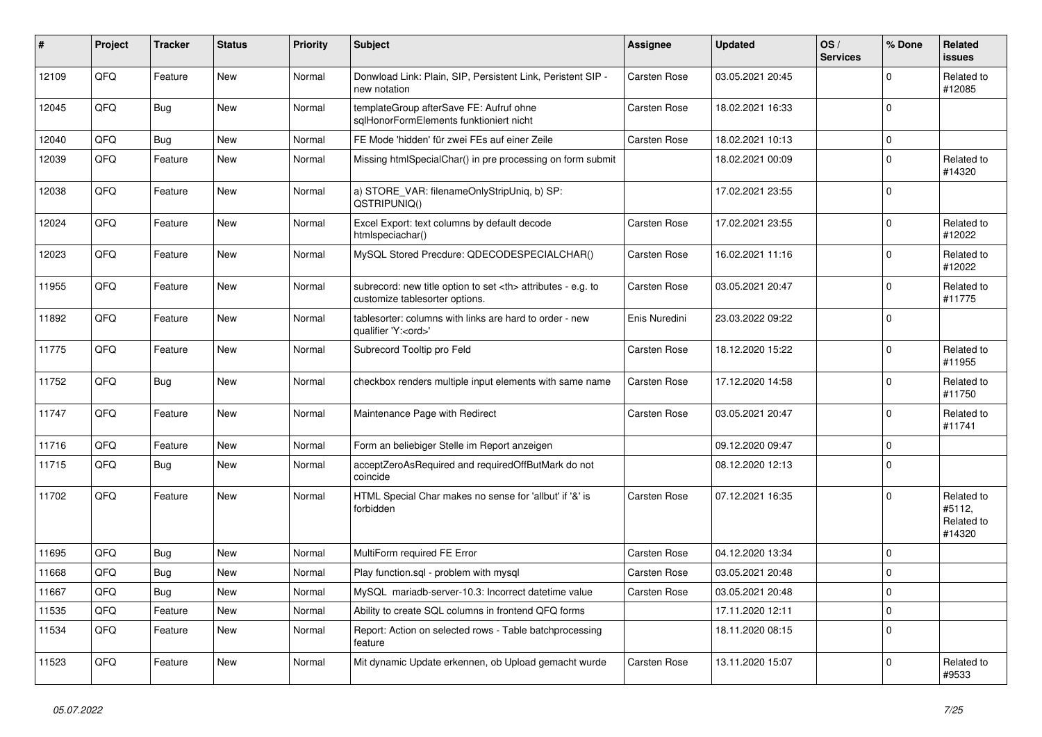| ∦     | Project | <b>Tracker</b> | <b>Status</b> | <b>Priority</b> | <b>Subject</b>                                                                                       | <b>Assignee</b>                                        | <b>Updated</b>   | OS/<br><b>Services</b> | % Done      | Related<br>issues                            |                      |
|-------|---------|----------------|---------------|-----------------|------------------------------------------------------------------------------------------------------|--------------------------------------------------------|------------------|------------------------|-------------|----------------------------------------------|----------------------|
| 12109 | QFQ     | Feature        | <b>New</b>    | Normal          | Donwload Link: Plain, SIP, Persistent Link, Peristent SIP -<br>new notation                          | Carsten Rose                                           | 03.05.2021 20:45 |                        | $\Omega$    | Related to<br>#12085                         |                      |
| 12045 | QFQ     | <b>Bug</b>     | <b>New</b>    | Normal          | templateGroup afterSave FE: Aufruf ohne<br>sqlHonorFormElements funktioniert nicht                   | Carsten Rose                                           | 18.02.2021 16:33 |                        | 0           |                                              |                      |
| 12040 | QFQ     | <b>Bug</b>     | <b>New</b>    | Normal          | FE Mode 'hidden' für zwei FEs auf einer Zeile                                                        | Carsten Rose                                           | 18.02.2021 10:13 |                        | $\Omega$    |                                              |                      |
| 12039 | QFQ     | Feature        | New           | Normal          | Missing htmlSpecialChar() in pre processing on form submit                                           |                                                        | 18.02.2021 00:09 |                        | 0           | Related to<br>#14320                         |                      |
| 12038 | QFQ     | Feature        | <b>New</b>    | Normal          | a) STORE_VAR: filenameOnlyStripUniq, b) SP:<br>QSTRIPUNIQ()                                          |                                                        | 17.02.2021 23:55 |                        | $\Omega$    |                                              |                      |
| 12024 | QFQ     | Feature        | New           | Normal          | Excel Export: text columns by default decode<br>htmlspeciachar()                                     | <b>Carsten Rose</b>                                    | 17.02.2021 23:55 |                        | $\Omega$    | Related to<br>#12022                         |                      |
| 12023 | QFQ     | Feature        | <b>New</b>    | Normal          | MySQL Stored Precdure: QDECODESPECIALCHAR()                                                          | Carsten Rose                                           | 16.02.2021 11:16 |                        | $\Omega$    | Related to<br>#12022                         |                      |
| 11955 | QFQ     | Feature        | <b>New</b>    | Normal          | subrecord: new title option to set <th> attributes - e.g. to<br/>customize tablesorter options.</th> | attributes - e.g. to<br>customize tablesorter options. | Carsten Rose     | 03.05.2021 20:47       |             | $\Omega$                                     | Related to<br>#11775 |
| 11892 | QFQ     | Feature        | <b>New</b>    | Normal          | tablesorter: columns with links are hard to order - new<br>qualifier 'Y: <ord>'</ord>                | Enis Nuredini                                          | 23.03.2022 09:22 |                        | $\Omega$    |                                              |                      |
| 11775 | QFQ     | Feature        | <b>New</b>    | Normal          | Subrecord Tooltip pro Feld                                                                           | Carsten Rose                                           | 18.12.2020 15:22 |                        | 0           | Related to<br>#11955                         |                      |
| 11752 | QFQ     | Bug            | <b>New</b>    | Normal          | checkbox renders multiple input elements with same name                                              | Carsten Rose                                           | 17.12.2020 14:58 |                        | $\Omega$    | Related to<br>#11750                         |                      |
| 11747 | QFQ     | Feature        | <b>New</b>    | Normal          | Maintenance Page with Redirect                                                                       | Carsten Rose                                           | 03.05.2021 20:47 |                        | $\Omega$    | Related to<br>#11741                         |                      |
| 11716 | QFQ     | Feature        | <b>New</b>    | Normal          | Form an beliebiger Stelle im Report anzeigen                                                         |                                                        | 09.12.2020 09:47 |                        | 0           |                                              |                      |
| 11715 | QFQ     | <b>Bug</b>     | <b>New</b>    | Normal          | acceptZeroAsRequired and requiredOffButMark do not<br>coincide                                       |                                                        | 08.12.2020 12:13 |                        | $\Omega$    |                                              |                      |
| 11702 | QFQ     | Feature        | <b>New</b>    | Normal          | HTML Special Char makes no sense for 'allbut' if '&' is<br>forbidden                                 | Carsten Rose                                           | 07.12.2021 16:35 |                        | $\Omega$    | Related to<br>#5112.<br>Related to<br>#14320 |                      |
| 11695 | QFQ     | Bug            | <b>New</b>    | Normal          | MultiForm required FE Error                                                                          | Carsten Rose                                           | 04.12.2020 13:34 |                        | $\mathbf 0$ |                                              |                      |
| 11668 | QFQ     | <b>Bug</b>     | <b>New</b>    | Normal          | Play function.sql - problem with mysql                                                               | Carsten Rose                                           | 03.05.2021 20:48 |                        | 0           |                                              |                      |
| 11667 | QFQ     | Bug            | <b>New</b>    | Normal          | MySQL mariadb-server-10.3: Incorrect datetime value                                                  | Carsten Rose                                           | 03.05.2021 20:48 |                        | $\mathbf 0$ |                                              |                      |
| 11535 | QFQ     | Feature        | <b>New</b>    | Normal          | Ability to create SQL columns in frontend QFQ forms                                                  |                                                        | 17.11.2020 12:11 |                        | 0           |                                              |                      |
| 11534 | QFQ     | Feature        | <b>New</b>    | Normal          | Report: Action on selected rows - Table batchprocessing<br>feature                                   |                                                        | 18.11.2020 08:15 |                        | $\mathbf 0$ |                                              |                      |
| 11523 | QFQ     | Feature        | New           | Normal          | Mit dynamic Update erkennen, ob Upload gemacht wurde                                                 | Carsten Rose                                           | 13.11.2020 15:07 |                        | $\Omega$    | Related to<br>#9533                          |                      |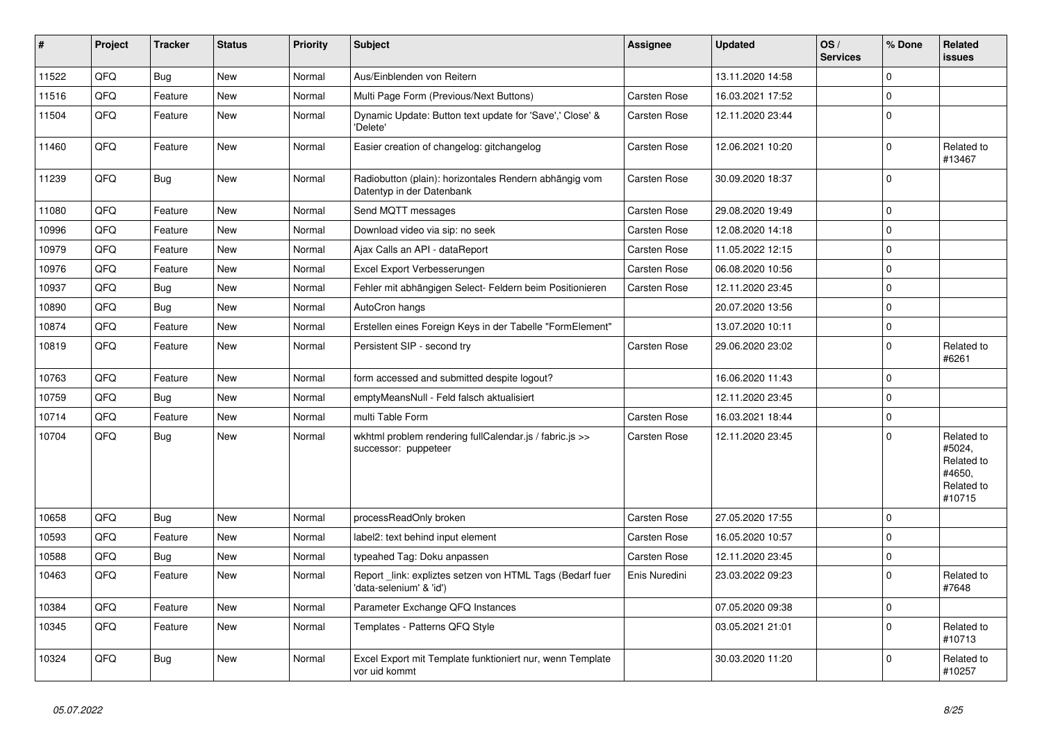| $\vert$ # | Project | <b>Tracker</b> | <b>Status</b> | <b>Priority</b> | <b>Subject</b>                                                                      | <b>Assignee</b>     | <b>Updated</b>   | OS/<br><b>Services</b> | % Done         | Related<br>issues                                                    |
|-----------|---------|----------------|---------------|-----------------|-------------------------------------------------------------------------------------|---------------------|------------------|------------------------|----------------|----------------------------------------------------------------------|
| 11522     | QFQ     | <b>Bug</b>     | <b>New</b>    | Normal          | Aus/Einblenden von Reitern                                                          |                     | 13.11.2020 14:58 |                        | $\Omega$       |                                                                      |
| 11516     | QFQ     | Feature        | <b>New</b>    | Normal          | Multi Page Form (Previous/Next Buttons)                                             | Carsten Rose        | 16.03.2021 17:52 |                        | $\mathbf 0$    |                                                                      |
| 11504     | QFQ     | Feature        | <b>New</b>    | Normal          | Dynamic Update: Button text update for 'Save',' Close' &<br>'Delete'                | Carsten Rose        | 12.11.2020 23:44 |                        | $\mathbf 0$    |                                                                      |
| 11460     | QFQ     | Feature        | <b>New</b>    | Normal          | Easier creation of changelog: gitchangelog                                          | Carsten Rose        | 12.06.2021 10:20 |                        | 0              | Related to<br>#13467                                                 |
| 11239     | QFQ     | Bug            | <b>New</b>    | Normal          | Radiobutton (plain): horizontales Rendern abhängig vom<br>Datentyp in der Datenbank | Carsten Rose        | 30.09.2020 18:37 |                        | $\Omega$       |                                                                      |
| 11080     | QFQ     | Feature        | <b>New</b>    | Normal          | Send MQTT messages                                                                  | Carsten Rose        | 29.08.2020 19:49 |                        | $\overline{0}$ |                                                                      |
| 10996     | QFQ     | Feature        | <b>New</b>    | Normal          | Download video via sip: no seek                                                     | Carsten Rose        | 12.08.2020 14:18 |                        | 0              |                                                                      |
| 10979     | QFQ     | Feature        | <b>New</b>    | Normal          | Ajax Calls an API - dataReport                                                      | Carsten Rose        | 11.05.2022 12:15 |                        | $\Omega$       |                                                                      |
| 10976     | QFQ     | Feature        | <b>New</b>    | Normal          | Excel Export Verbesserungen                                                         | Carsten Rose        | 06.08.2020 10:56 |                        | $\Omega$       |                                                                      |
| 10937     | QFQ     | <b>Bug</b>     | <b>New</b>    | Normal          | Fehler mit abhängigen Select- Feldern beim Positionieren                            | Carsten Rose        | 12.11.2020 23:45 |                        | $\Omega$       |                                                                      |
| 10890     | QFQ     | <b>Bug</b>     | <b>New</b>    | Normal          | AutoCron hangs                                                                      |                     | 20.07.2020 13:56 |                        | 0              |                                                                      |
| 10874     | QFQ     | Feature        | <b>New</b>    | Normal          | Erstellen eines Foreign Keys in der Tabelle "FormElement"                           |                     | 13.07.2020 10:11 |                        | $\Omega$       |                                                                      |
| 10819     | QFQ     | Feature        | <b>New</b>    | Normal          | Persistent SIP - second try                                                         | Carsten Rose        | 29.06.2020 23:02 |                        | 0              | Related to<br>#6261                                                  |
| 10763     | QFQ     | Feature        | New           | Normal          | form accessed and submitted despite logout?                                         |                     | 16.06.2020 11:43 |                        | $\Omega$       |                                                                      |
| 10759     | QFQ     | Bug            | <b>New</b>    | Normal          | emptyMeansNull - Feld falsch aktualisiert                                           |                     | 12.11.2020 23:45 |                        | $\mathbf 0$    |                                                                      |
| 10714     | QFQ     | Feature        | <b>New</b>    | Normal          | multi Table Form                                                                    | Carsten Rose        | 16.03.2021 18:44 |                        | $\mathbf 0$    |                                                                      |
| 10704     | QFQ     | <b>Bug</b>     | <b>New</b>    | Normal          | wkhtml problem rendering fullCalendar.js / fabric.js >><br>successor: puppeteer     | Carsten Rose        | 12.11.2020 23:45 |                        | $\Omega$       | Related to<br>#5024,<br>Related to<br>#4650.<br>Related to<br>#10715 |
| 10658     | QFQ     | <b>Bug</b>     | <b>New</b>    | Normal          | processReadOnly broken                                                              | <b>Carsten Rose</b> | 27.05.2020 17:55 |                        | $\Omega$       |                                                                      |
| 10593     | QFQ     | Feature        | <b>New</b>    | Normal          | label2: text behind input element                                                   | Carsten Rose        | 16.05.2020 10:57 |                        | $\Omega$       |                                                                      |
| 10588     | QFQ     | <b>Bug</b>     | <b>New</b>    | Normal          | typeahed Tag: Doku anpassen                                                         | Carsten Rose        | 12.11.2020 23:45 |                        | 0              |                                                                      |
| 10463     | QFQ     | Feature        | <b>New</b>    | Normal          | Report_link: expliztes setzen von HTML Tags (Bedarf fuer<br>'data-selenium' & 'id') | Enis Nuredini       | 23.03.2022 09:23 |                        | $\Omega$       | Related to<br>#7648                                                  |
| 10384     | QFQ     | Feature        | <b>New</b>    | Normal          | Parameter Exchange QFQ Instances                                                    |                     | 07.05.2020 09:38 |                        | 0              |                                                                      |
| 10345     | QFQ     | Feature        | <b>New</b>    | Normal          | Templates - Patterns QFQ Style                                                      |                     | 03.05.2021 21:01 |                        | 0              | Related to<br>#10713                                                 |
| 10324     | QFQ     | <b>Bug</b>     | <b>New</b>    | Normal          | Excel Export mit Template funktioniert nur, wenn Template<br>vor uid kommt          |                     | 30.03.2020 11:20 |                        | $\Omega$       | Related to<br>#10257                                                 |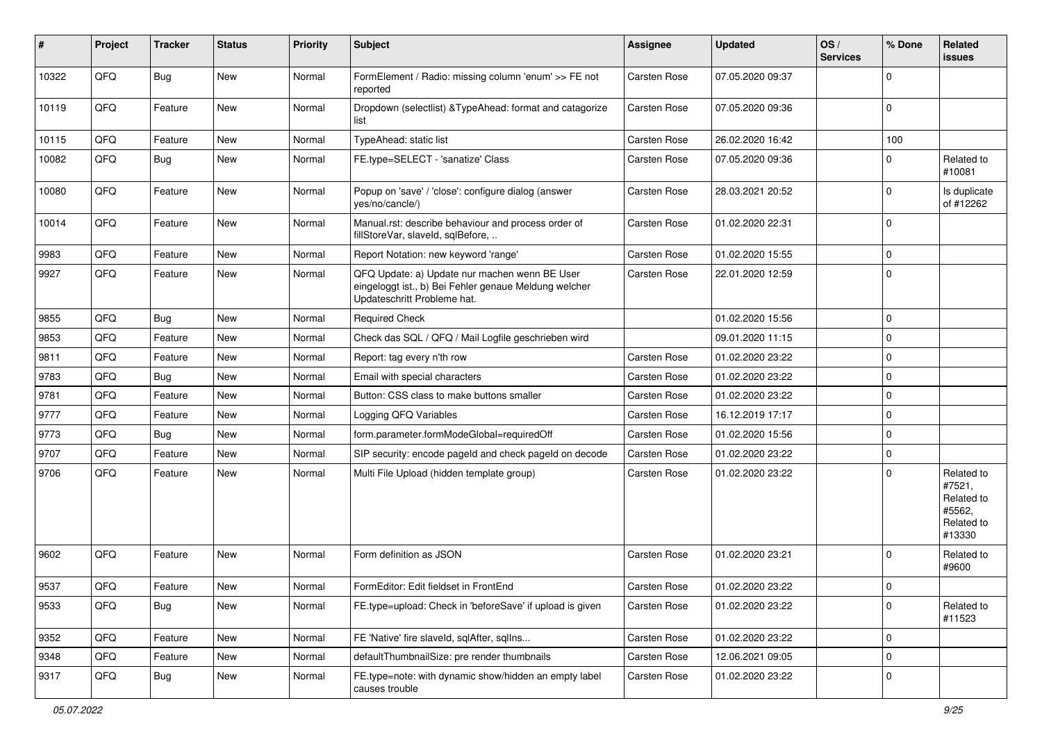| #     | Project | <b>Tracker</b> | <b>Status</b> | <b>Priority</b> | <b>Subject</b>                                                                                                                        | <b>Assignee</b> | <b>Updated</b>   | OS/<br><b>Services</b> | % Done      | Related<br>issues                                                    |
|-------|---------|----------------|---------------|-----------------|---------------------------------------------------------------------------------------------------------------------------------------|-----------------|------------------|------------------------|-------------|----------------------------------------------------------------------|
| 10322 | QFQ     | <b>Bug</b>     | <b>New</b>    | Normal          | FormElement / Radio: missing column 'enum' >> FE not<br>reported                                                                      | Carsten Rose    | 07.05.2020 09:37 |                        | $\Omega$    |                                                                      |
| 10119 | QFQ     | Feature        | New           | Normal          | Dropdown (selectlist) & TypeAhead: format and catagorize<br>list                                                                      | Carsten Rose    | 07.05.2020 09:36 |                        | $\mathbf 0$ |                                                                      |
| 10115 | QFQ     | Feature        | <b>New</b>    | Normal          | TypeAhead: static list                                                                                                                | Carsten Rose    | 26.02.2020 16:42 |                        | 100         |                                                                      |
| 10082 | QFQ     | Bug            | <b>New</b>    | Normal          | FE.type=SELECT - 'sanatize' Class                                                                                                     | Carsten Rose    | 07.05.2020 09:36 |                        | $\Omega$    | Related to<br>#10081                                                 |
| 10080 | QFQ     | Feature        | <b>New</b>    | Normal          | Popup on 'save' / 'close': configure dialog (answer<br>yes/no/cancle/)                                                                | Carsten Rose    | 28.03.2021 20:52 |                        | $\Omega$    | Is duplicate<br>of #12262                                            |
| 10014 | QFQ     | Feature        | <b>New</b>    | Normal          | Manual.rst: describe behaviour and process order of<br>fillStoreVar, slaveId, sqlBefore,                                              | Carsten Rose    | 01.02.2020 22:31 |                        | $\mathbf 0$ |                                                                      |
| 9983  | QFQ     | Feature        | <b>New</b>    | Normal          | Report Notation: new keyword 'range'                                                                                                  | Carsten Rose    | 01.02.2020 15:55 |                        | $\Omega$    |                                                                      |
| 9927  | QFQ     | Feature        | <b>New</b>    | Normal          | QFQ Update: a) Update nur machen wenn BE User<br>eingeloggt ist., b) Bei Fehler genaue Meldung welcher<br>Updateschritt Probleme hat. | Carsten Rose    | 22.01.2020 12:59 |                        | $\Omega$    |                                                                      |
| 9855  | QFQ     | Bug            | <b>New</b>    | Normal          | <b>Required Check</b>                                                                                                                 |                 | 01.02.2020 15:56 |                        | $\mathbf 0$ |                                                                      |
| 9853  | QFQ     | Feature        | <b>New</b>    | Normal          | Check das SQL / QFQ / Mail Logfile geschrieben wird                                                                                   |                 | 09.01.2020 11:15 |                        | $\Omega$    |                                                                      |
| 9811  | QFQ     | Feature        | New           | Normal          | Report: tag every n'th row                                                                                                            | Carsten Rose    | 01.02.2020 23:22 |                        | $\mathbf 0$ |                                                                      |
| 9783  | QFQ     | Bug            | <b>New</b>    | Normal          | Email with special characters                                                                                                         | Carsten Rose    | 01.02.2020 23:22 |                        | $\Omega$    |                                                                      |
| 9781  | QFQ     | Feature        | <b>New</b>    | Normal          | Button: CSS class to make buttons smaller                                                                                             | Carsten Rose    | 01.02.2020 23:22 |                        | $\Omega$    |                                                                      |
| 9777  | QFQ     | Feature        | <b>New</b>    | Normal          | Logging QFQ Variables                                                                                                                 | Carsten Rose    | 16.12.2019 17:17 |                        | $\mathbf 0$ |                                                                      |
| 9773  | QFQ     | <b>Bug</b>     | <b>New</b>    | Normal          | form.parameter.formModeGlobal=requiredOff                                                                                             | Carsten Rose    | 01.02.2020 15:56 |                        | $\Omega$    |                                                                      |
| 9707  | QFQ     | Feature        | <b>New</b>    | Normal          | SIP security: encode pageld and check pageld on decode                                                                                | Carsten Rose    | 01.02.2020 23:22 |                        | $\mathbf 0$ |                                                                      |
| 9706  | QFQ     | Feature        | New           | Normal          | Multi File Upload (hidden template group)                                                                                             | Carsten Rose    | 01.02.2020 23:22 |                        | $\Omega$    | Related to<br>#7521,<br>Related to<br>#5562,<br>Related to<br>#13330 |
| 9602  | QFQ     | Feature        | <b>New</b>    | Normal          | Form definition as JSON                                                                                                               | Carsten Rose    | 01.02.2020 23:21 |                        | $\Omega$    | Related to<br>#9600                                                  |
| 9537  | QFQ     | Feature        | New           | Normal          | FormEditor: Edit fieldset in FrontEnd                                                                                                 | Carsten Rose    | 01.02.2020 23:22 |                        | $\mathbf 0$ |                                                                      |
| 9533  | QFQ     | Bug            | New           | Normal          | FE.type=upload: Check in 'beforeSave' if upload is given                                                                              | Carsten Rose    | 01.02.2020 23:22 |                        | $\mathbf 0$ | Related to<br>#11523                                                 |
| 9352  | QFQ     | Feature        | New           | Normal          | FE 'Native' fire slaveld, sqlAfter, sqlIns                                                                                            | Carsten Rose    | 01.02.2020 23:22 |                        | $\mathbf 0$ |                                                                      |
| 9348  | QFQ     | Feature        | New           | Normal          | defaultThumbnailSize: pre render thumbnails                                                                                           | Carsten Rose    | 12.06.2021 09:05 |                        | 0           |                                                                      |
| 9317  | QFQ     | Bug            | New           | Normal          | FE.type=note: with dynamic show/hidden an empty label<br>causes trouble                                                               | Carsten Rose    | 01.02.2020 23:22 |                        | 0           |                                                                      |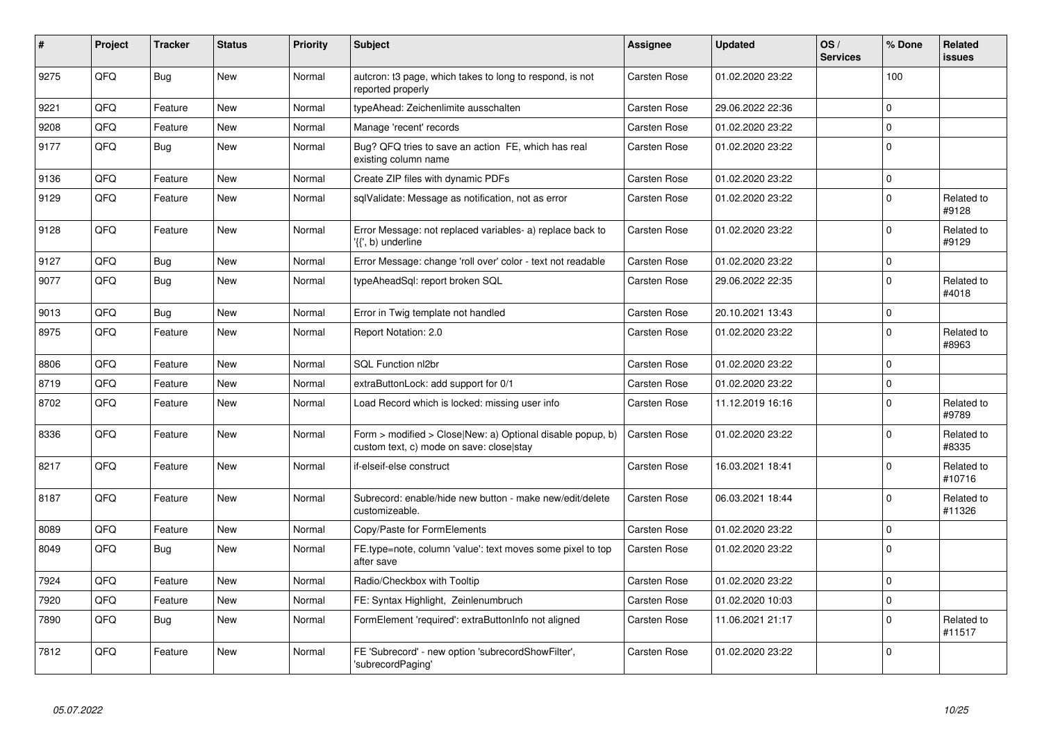| #    | Project | <b>Tracker</b> | <b>Status</b> | <b>Priority</b> | <b>Subject</b>                                                                                         | <b>Assignee</b> | <b>Updated</b>   | OS/<br><b>Services</b> | % Done      | Related<br><b>issues</b> |
|------|---------|----------------|---------------|-----------------|--------------------------------------------------------------------------------------------------------|-----------------|------------------|------------------------|-------------|--------------------------|
| 9275 | QFQ     | Bug            | New           | Normal          | auteron: t3 page, which takes to long to respond, is not<br>reported properly                          | Carsten Rose    | 01.02.2020 23:22 |                        | 100         |                          |
| 9221 | QFQ     | Feature        | New           | Normal          | typeAhead: Zeichenlimite ausschalten                                                                   | Carsten Rose    | 29.06.2022 22:36 |                        | $\mathbf 0$ |                          |
| 9208 | QFQ     | Feature        | <b>New</b>    | Normal          | Manage 'recent' records                                                                                | Carsten Rose    | 01.02.2020 23:22 |                        | $\Omega$    |                          |
| 9177 | QFQ     | Bug            | <b>New</b>    | Normal          | Bug? QFQ tries to save an action FE, which has real<br>existing column name                            | Carsten Rose    | 01.02.2020 23:22 |                        | $\Omega$    |                          |
| 9136 | QFQ     | Feature        | <b>New</b>    | Normal          | Create ZIP files with dynamic PDFs                                                                     | Carsten Rose    | 01.02.2020 23:22 |                        | $\mathbf 0$ |                          |
| 9129 | QFQ     | Feature        | New           | Normal          | sqlValidate: Message as notification, not as error                                                     | Carsten Rose    | 01.02.2020 23:22 |                        | $\Omega$    | Related to<br>#9128      |
| 9128 | QFQ     | Feature        | <b>New</b>    | Normal          | Error Message: not replaced variables- a) replace back to<br>'{{', b) underline                        | Carsten Rose    | 01.02.2020 23:22 |                        | $\Omega$    | Related to<br>#9129      |
| 9127 | QFQ     | <b>Bug</b>     | New           | Normal          | Error Message: change 'roll over' color - text not readable                                            | Carsten Rose    | 01.02.2020 23:22 |                        | $\pmb{0}$   |                          |
| 9077 | QFQ     | <b>Bug</b>     | <b>New</b>    | Normal          | typeAheadSql: report broken SQL                                                                        | Carsten Rose    | 29.06.2022 22:35 |                        | $\Omega$    | Related to<br>#4018      |
| 9013 | QFQ     | <b>Bug</b>     | <b>New</b>    | Normal          | Error in Twig template not handled                                                                     | Carsten Rose    | 20.10.2021 13:43 |                        | $\mathbf 0$ |                          |
| 8975 | QFQ     | Feature        | <b>New</b>    | Normal          | <b>Report Notation: 2.0</b>                                                                            | Carsten Rose    | 01.02.2020 23:22 |                        | $\Omega$    | Related to<br>#8963      |
| 8806 | QFQ     | Feature        | New           | Normal          | SQL Function nl2br                                                                                     | Carsten Rose    | 01.02.2020 23:22 |                        | $\mathbf 0$ |                          |
| 8719 | QFQ     | Feature        | <b>New</b>    | Normal          | extraButtonLock: add support for 0/1                                                                   | Carsten Rose    | 01.02.2020 23:22 |                        | $\Omega$    |                          |
| 8702 | QFQ     | Feature        | <b>New</b>    | Normal          | Load Record which is locked: missing user info                                                         | Carsten Rose    | 11.12.2019 16:16 |                        | $\Omega$    | Related to<br>#9789      |
| 8336 | QFQ     | Feature        | <b>New</b>    | Normal          | Form > modified > Close New: a) Optional disable popup, b)<br>custom text, c) mode on save: close stay | Carsten Rose    | 01.02.2020 23:22 |                        | $\Omega$    | Related to<br>#8335      |
| 8217 | QFQ     | Feature        | New           | Normal          | if-elseif-else construct                                                                               | Carsten Rose    | 16.03.2021 18:41 |                        | $\mathbf 0$ | Related to<br>#10716     |
| 8187 | QFQ     | Feature        | <b>New</b>    | Normal          | Subrecord: enable/hide new button - make new/edit/delete<br>customizeable.                             | Carsten Rose    | 06.03.2021 18:44 |                        | $\Omega$    | Related to<br>#11326     |
| 8089 | QFQ     | Feature        | <b>New</b>    | Normal          | Copy/Paste for FormElements                                                                            | Carsten Rose    | 01.02.2020 23:22 |                        | $\Omega$    |                          |
| 8049 | QFQ     | Bug            | New           | Normal          | FE.type=note, column 'value': text moves some pixel to top<br>after save                               | Carsten Rose    | 01.02.2020 23:22 |                        | $\Omega$    |                          |
| 7924 | QFQ     | Feature        | <b>New</b>    | Normal          | Radio/Checkbox with Tooltip                                                                            | Carsten Rose    | 01.02.2020 23:22 |                        | $\mathbf 0$ |                          |
| 7920 | QFQ     | Feature        | New           | Normal          | FE: Syntax Highlight, Zeinlenumbruch                                                                   | Carsten Rose    | 01.02.2020 10:03 |                        | $\mathbf 0$ |                          |
| 7890 | QFQ     | <b>Bug</b>     | <b>New</b>    | Normal          | FormElement 'required': extraButtonInfo not aligned                                                    | Carsten Rose    | 11.06.2021 21:17 |                        | $\Omega$    | Related to<br>#11517     |
| 7812 | QFQ     | Feature        | New           | Normal          | FE 'Subrecord' - new option 'subrecordShowFilter',<br>'subrecordPaging'                                | Carsten Rose    | 01.02.2020 23:22 |                        | $\Omega$    |                          |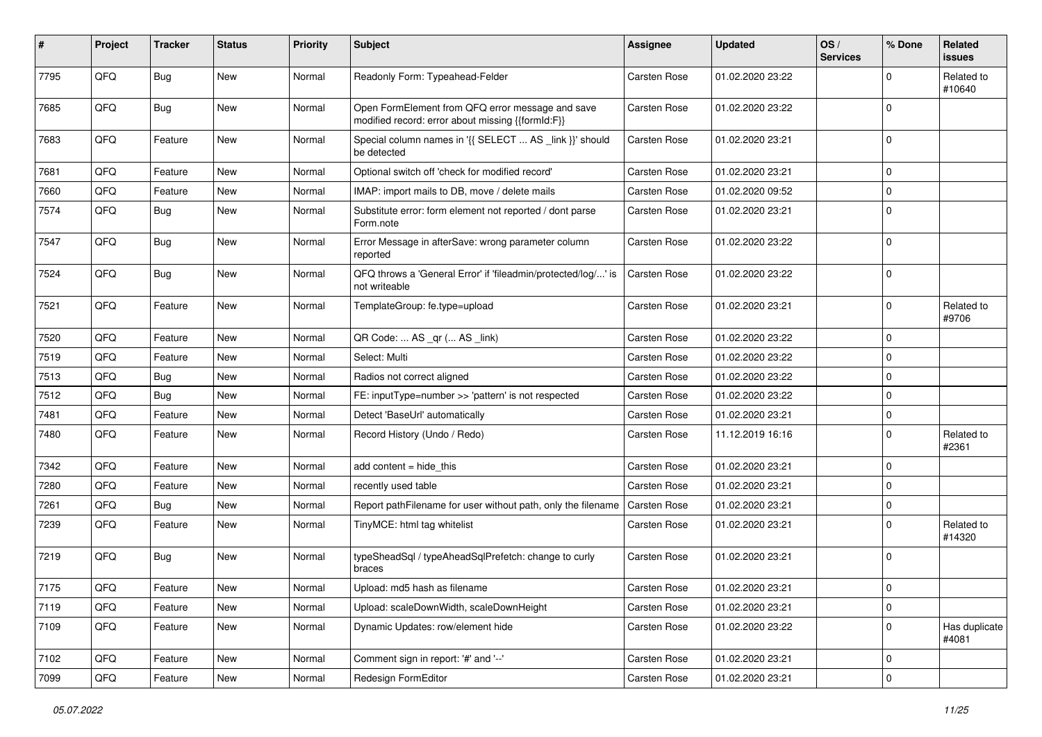| #    | Project | <b>Tracker</b> | <b>Status</b> | <b>Priority</b> | Subject                                                                                               | <b>Assignee</b> | <b>Updated</b>   | OS/<br><b>Services</b> | % Done      | Related<br><b>issues</b> |
|------|---------|----------------|---------------|-----------------|-------------------------------------------------------------------------------------------------------|-----------------|------------------|------------------------|-------------|--------------------------|
| 7795 | QFQ     | Bug            | <b>New</b>    | Normal          | Readonly Form: Typeahead-Felder                                                                       | Carsten Rose    | 01.02.2020 23:22 |                        | $\Omega$    | Related to<br>#10640     |
| 7685 | QFQ     | Bug            | New           | Normal          | Open FormElement from QFQ error message and save<br>modified record: error about missing {{formId:F}} | Carsten Rose    | 01.02.2020 23:22 |                        | $\mathbf 0$ |                          |
| 7683 | QFQ     | Feature        | <b>New</b>    | Normal          | Special column names in '{{ SELECT  AS _link }}' should<br>be detected                                | Carsten Rose    | 01.02.2020 23:21 |                        | $\Omega$    |                          |
| 7681 | QFQ     | Feature        | <b>New</b>    | Normal          | Optional switch off 'check for modified record'                                                       | Carsten Rose    | 01.02.2020 23:21 |                        | $\mathbf 0$ |                          |
| 7660 | QFQ     | Feature        | New           | Normal          | IMAP: import mails to DB, move / delete mails                                                         | Carsten Rose    | 01.02.2020 09:52 |                        | $\Omega$    |                          |
| 7574 | QFQ     | Bug            | <b>New</b>    | Normal          | Substitute error: form element not reported / dont parse<br>Form.note                                 | Carsten Rose    | 01.02.2020 23:21 |                        | $\Omega$    |                          |
| 7547 | QFQ     | Bug            | New           | Normal          | Error Message in afterSave: wrong parameter column<br>reported                                        | Carsten Rose    | 01.02.2020 23:22 |                        | $\mathbf 0$ |                          |
| 7524 | QFQ     | Bug            | <b>New</b>    | Normal          | QFQ throws a 'General Error' if 'fileadmin/protected/log/' is<br>not writeable                        | Carsten Rose    | 01.02.2020 23:22 |                        | $\Omega$    |                          |
| 7521 | QFQ     | Feature        | <b>New</b>    | Normal          | TemplateGroup: fe.type=upload                                                                         | Carsten Rose    | 01.02.2020 23:21 |                        | $\mathbf 0$ | Related to<br>#9706      |
| 7520 | QFQ     | Feature        | <b>New</b>    | Normal          | QR Code:  AS _qr ( AS _link)                                                                          | Carsten Rose    | 01.02.2020 23:22 |                        | $\mathbf 0$ |                          |
| 7519 | QFQ     | Feature        | New           | Normal          | Select: Multi                                                                                         | Carsten Rose    | 01.02.2020 23:22 |                        | 0           |                          |
| 7513 | QFQ     | <b>Bug</b>     | <b>New</b>    | Normal          | Radios not correct aligned                                                                            | Carsten Rose    | 01.02.2020 23:22 |                        | $\Omega$    |                          |
| 7512 | QFQ     | Bug            | <b>New</b>    | Normal          | FE: inputType=number >> 'pattern' is not respected                                                    | Carsten Rose    | 01.02.2020 23:22 |                        | $\Omega$    |                          |
| 7481 | QFQ     | Feature        | New           | Normal          | Detect 'BaseUrl' automatically                                                                        | Carsten Rose    | 01.02.2020 23:21 |                        | 0           |                          |
| 7480 | QFQ     | Feature        | New           | Normal          | Record History (Undo / Redo)                                                                          | Carsten Rose    | 11.12.2019 16:16 |                        | $\mathbf 0$ | Related to<br>#2361      |
| 7342 | QFQ     | Feature        | <b>New</b>    | Normal          | add content = hide_this                                                                               | Carsten Rose    | 01.02.2020 23:21 |                        | $\Omega$    |                          |
| 7280 | QFQ     | Feature        | <b>New</b>    | Normal          | recently used table                                                                                   | Carsten Rose    | 01.02.2020 23:21 |                        | $\Omega$    |                          |
| 7261 | QFQ     | Bug            | New           | Normal          | Report pathFilename for user without path, only the filename                                          | Carsten Rose    | 01.02.2020 23:21 |                        | 0           |                          |
| 7239 | QFQ     | Feature        | New           | Normal          | TinyMCE: html tag whitelist                                                                           | Carsten Rose    | 01.02.2020 23:21 |                        | $\Omega$    | Related to<br>#14320     |
| 7219 | QFQ     | <b>Bug</b>     | <b>New</b>    | Normal          | typeSheadSql / typeAheadSqlPrefetch: change to curly<br>braces                                        | Carsten Rose    | 01.02.2020 23:21 |                        | $\Omega$    |                          |
| 7175 | QFQ     | Feature        | New           | Normal          | Upload: md5 hash as filename                                                                          | Carsten Rose    | 01.02.2020 23:21 |                        | $\mathbf 0$ |                          |
| 7119 | QFQ     | Feature        | New           | Normal          | Upload: scaleDownWidth, scaleDownHeight                                                               | Carsten Rose    | 01.02.2020 23:21 |                        | $\mathbf 0$ |                          |
| 7109 | QFQ     | Feature        | New           | Normal          | Dynamic Updates: row/element hide                                                                     | Carsten Rose    | 01.02.2020 23:22 |                        | $\mathbf 0$ | Has duplicate<br>#4081   |
| 7102 | QFQ     | Feature        | New           | Normal          | Comment sign in report: '#' and '--'                                                                  | Carsten Rose    | 01.02.2020 23:21 |                        | $\mathbf 0$ |                          |
| 7099 | QFQ     | Feature        | New           | Normal          | Redesign FormEditor                                                                                   | Carsten Rose    | 01.02.2020 23:21 |                        | $\mathbf 0$ |                          |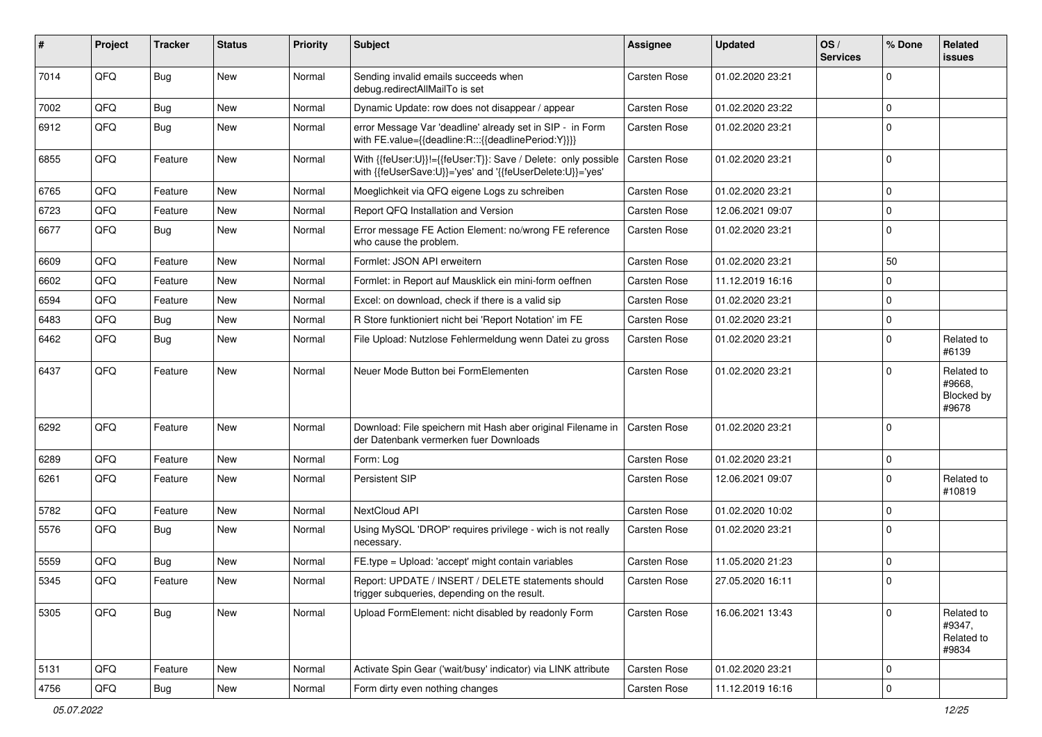| #    | Project | <b>Tracker</b> | <b>Status</b> | <b>Priority</b> | <b>Subject</b>                                                                                                             | Assignee            | <b>Updated</b>   | OS/<br><b>Services</b> | % Done      | Related<br><b>issues</b>                    |
|------|---------|----------------|---------------|-----------------|----------------------------------------------------------------------------------------------------------------------------|---------------------|------------------|------------------------|-------------|---------------------------------------------|
| 7014 | QFQ     | <b>Bug</b>     | New           | Normal          | Sending invalid emails succeeds when<br>debug.redirectAllMailTo is set                                                     | Carsten Rose        | 01.02.2020 23:21 |                        | $\Omega$    |                                             |
| 7002 | QFQ     | <b>Bug</b>     | <b>New</b>    | Normal          | Dynamic Update: row does not disappear / appear                                                                            | Carsten Rose        | 01.02.2020 23:22 |                        | $\mathbf 0$ |                                             |
| 6912 | QFQ     | <b>Bug</b>     | New           | Normal          | error Message Var 'deadline' already set in SIP - in Form<br>with FE.value={{deadline:R:::{{deadlinePeriod:Y}}}}           | Carsten Rose        | 01.02.2020 23:21 |                        | $\mathbf 0$ |                                             |
| 6855 | QFQ     | Feature        | <b>New</b>    | Normal          | With {{feUser:U}}!={{feUser:T}}: Save / Delete: only possible<br>with {{feUserSave:U}}='yes' and '{{feUserDelete:U}}='yes' | Carsten Rose        | 01.02.2020 23:21 |                        | $\mathbf 0$ |                                             |
| 6765 | QFQ     | Feature        | <b>New</b>    | Normal          | Moeglichkeit via QFQ eigene Logs zu schreiben                                                                              | Carsten Rose        | 01.02.2020 23:21 |                        | $\mathbf 0$ |                                             |
| 6723 | QFQ     | Feature        | <b>New</b>    | Normal          | Report QFQ Installation and Version                                                                                        | <b>Carsten Rose</b> | 12.06.2021 09:07 |                        | $\mathbf 0$ |                                             |
| 6677 | QFQ     | Bug            | <b>New</b>    | Normal          | Error message FE Action Element: no/wrong FE reference<br>who cause the problem.                                           | Carsten Rose        | 01.02.2020 23:21 |                        | $\mathbf 0$ |                                             |
| 6609 | QFQ     | Feature        | <b>New</b>    | Normal          | Formlet: JSON API erweitern                                                                                                | Carsten Rose        | 01.02.2020 23:21 |                        | 50          |                                             |
| 6602 | QFQ     | Feature        | <b>New</b>    | Normal          | Formlet: in Report auf Mausklick ein mini-form oeffnen                                                                     | Carsten Rose        | 11.12.2019 16:16 |                        | $\mathbf 0$ |                                             |
| 6594 | QFQ     | Feature        | <b>New</b>    | Normal          | Excel: on download, check if there is a valid sip                                                                          | <b>Carsten Rose</b> | 01.02.2020 23:21 |                        | $\mathbf 0$ |                                             |
| 6483 | QFQ     | <b>Bug</b>     | <b>New</b>    | Normal          | R Store funktioniert nicht bei 'Report Notation' im FE                                                                     | Carsten Rose        | 01.02.2020 23:21 |                        | $\mathbf 0$ |                                             |
| 6462 | QFQ     | <b>Bug</b>     | New           | Normal          | File Upload: Nutzlose Fehlermeldung wenn Datei zu gross                                                                    | Carsten Rose        | 01.02.2020 23:21 |                        | $\mathbf 0$ | Related to<br>#6139                         |
| 6437 | QFQ     | Feature        | <b>New</b>    | Normal          | Neuer Mode Button bei FormElementen                                                                                        | Carsten Rose        | 01.02.2020 23:21 |                        | $\mathbf 0$ | Related to<br>#9668,<br>Blocked by<br>#9678 |
| 6292 | QFQ     | Feature        | <b>New</b>    | Normal          | Download: File speichern mit Hash aber original Filename in<br>der Datenbank vermerken fuer Downloads                      | <b>Carsten Rose</b> | 01.02.2020 23:21 |                        | $\mathbf 0$ |                                             |
| 6289 | QFQ     | Feature        | <b>New</b>    | Normal          | Form: Log                                                                                                                  | Carsten Rose        | 01.02.2020 23:21 |                        | $\mathbf 0$ |                                             |
| 6261 | QFQ     | Feature        | <b>New</b>    | Normal          | Persistent SIP                                                                                                             | <b>Carsten Rose</b> | 12.06.2021 09:07 |                        | $\mathbf 0$ | Related to<br>#10819                        |
| 5782 | QFQ     | Feature        | <b>New</b>    | Normal          | NextCloud API                                                                                                              | Carsten Rose        | 01.02.2020 10:02 |                        | $\mathbf 0$ |                                             |
| 5576 | QFQ     | <b>Bug</b>     | <b>New</b>    | Normal          | Using MySQL 'DROP' requires privilege - wich is not really<br>necessary.                                                   | <b>Carsten Rose</b> | 01.02.2020 23:21 |                        | $\mathbf 0$ |                                             |
| 5559 | QFQ     | <b>Bug</b>     | <b>New</b>    | Normal          | FE.type = Upload: 'accept' might contain variables                                                                         | Carsten Rose        | 11.05.2020 21:23 |                        | $\mathbf 0$ |                                             |
| 5345 | QFQ     | Feature        | <b>New</b>    | Normal          | Report: UPDATE / INSERT / DELETE statements should<br>trigger subqueries, depending on the result.                         | Carsten Rose        | 27.05.2020 16:11 |                        | $\mathbf 0$ |                                             |
| 5305 | QFQ     | Bug            | New           | Normal          | Upload FormElement: nicht disabled by readonly Form                                                                        | Carsten Rose        | 16.06.2021 13:43 |                        | $\mathbf 0$ | Related to<br>#9347,<br>Related to<br>#9834 |
| 5131 | QFQ     | Feature        | New           | Normal          | Activate Spin Gear ('wait/busy' indicator) via LINK attribute                                                              | Carsten Rose        | 01.02.2020 23:21 |                        | $\mathbf 0$ |                                             |
| 4756 | QFG     | Bug            | New           | Normal          | Form dirty even nothing changes                                                                                            | Carsten Rose        | 11.12.2019 16:16 |                        | $\mathbf 0$ |                                             |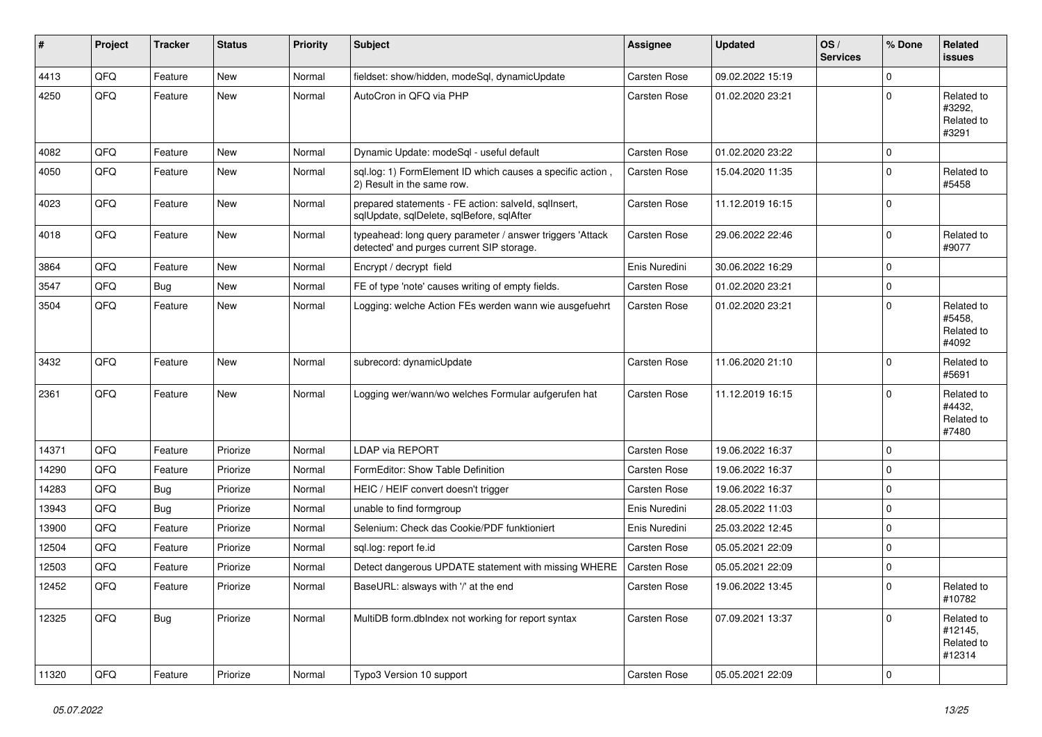| #     | Project | <b>Tracker</b> | <b>Status</b> | <b>Priority</b> | <b>Subject</b>                                                                                         | <b>Assignee</b> | <b>Updated</b>   | OS/<br><b>Services</b> | % Done      | Related<br>issues                             |
|-------|---------|----------------|---------------|-----------------|--------------------------------------------------------------------------------------------------------|-----------------|------------------|------------------------|-------------|-----------------------------------------------|
| 4413  | QFQ     | Feature        | <b>New</b>    | Normal          | fieldset: show/hidden, modeSql, dynamicUpdate                                                          | Carsten Rose    | 09.02.2022 15:19 |                        | $\mathbf 0$ |                                               |
| 4250  | QFQ     | Feature        | <b>New</b>    | Normal          | AutoCron in QFQ via PHP                                                                                | Carsten Rose    | 01.02.2020 23:21 |                        | $\Omega$    | Related to<br>#3292,<br>Related to<br>#3291   |
| 4082  | QFQ     | Feature        | New           | Normal          | Dynamic Update: modeSql - useful default                                                               | Carsten Rose    | 01.02.2020 23:22 |                        | $\mathbf 0$ |                                               |
| 4050  | QFQ     | Feature        | New           | Normal          | sql.log: 1) FormElement ID which causes a specific action,<br>2) Result in the same row.               | Carsten Rose    | 15.04.2020 11:35 |                        | 0           | Related to<br>#5458                           |
| 4023  | QFQ     | Feature        | <b>New</b>    | Normal          | prepared statements - FE action: salveld, sqlInsert,<br>sqlUpdate, sqlDelete, sqlBefore, sqlAfter      | Carsten Rose    | 11.12.2019 16:15 |                        | $\Omega$    |                                               |
| 4018  | QFQ     | Feature        | <b>New</b>    | Normal          | typeahead: long query parameter / answer triggers 'Attack<br>detected' and purges current SIP storage. | Carsten Rose    | 29.06.2022 22:46 |                        | 0           | Related to<br>#9077                           |
| 3864  | QFQ     | Feature        | <b>New</b>    | Normal          | Encrypt / decrypt field                                                                                | Enis Nuredini   | 30.06.2022 16:29 |                        | $\Omega$    |                                               |
| 3547  | QFQ     | Bug            | <b>New</b>    | Normal          | FE of type 'note' causes writing of empty fields.                                                      | Carsten Rose    | 01.02.2020 23:21 |                        | $\mathbf 0$ |                                               |
| 3504  | QFQ     | Feature        | New           | Normal          | Logging: welche Action FEs werden wann wie ausgefuehrt                                                 | Carsten Rose    | 01.02.2020 23:21 |                        | $\Omega$    | Related to<br>#5458,<br>Related to<br>#4092   |
| 3432  | QFQ     | Feature        | <b>New</b>    | Normal          | subrecord: dynamicUpdate                                                                               | Carsten Rose    | 11.06.2020 21:10 |                        | $\Omega$    | Related to<br>#5691                           |
| 2361  | QFQ     | Feature        | <b>New</b>    | Normal          | Logging wer/wann/wo welches Formular aufgerufen hat                                                    | Carsten Rose    | 11.12.2019 16:15 |                        | $\Omega$    | Related to<br>#4432,<br>Related to<br>#7480   |
| 14371 | QFQ     | Feature        | Priorize      | Normal          | LDAP via REPORT                                                                                        | Carsten Rose    | 19.06.2022 16:37 |                        | $\Omega$    |                                               |
| 14290 | QFQ     | Feature        | Priorize      | Normal          | FormEditor: Show Table Definition                                                                      | Carsten Rose    | 19.06.2022 16:37 |                        | $\Omega$    |                                               |
| 14283 | QFQ     | <b>Bug</b>     | Priorize      | Normal          | HEIC / HEIF convert doesn't trigger                                                                    | Carsten Rose    | 19.06.2022 16:37 |                        | $\mathbf 0$ |                                               |
| 13943 | QFQ     | Bug            | Priorize      | Normal          | unable to find formgroup                                                                               | Enis Nuredini   | 28.05.2022 11:03 |                        | $\mathbf 0$ |                                               |
| 13900 | QFQ     | Feature        | Priorize      | Normal          | Selenium: Check das Cookie/PDF funktioniert                                                            | Enis Nuredini   | 25.03.2022 12:45 |                        | 0           |                                               |
| 12504 | QFQ     | Feature        | Priorize      | Normal          | sql.log: report fe.id                                                                                  | Carsten Rose    | 05.05.2021 22:09 |                        | 0           |                                               |
| 12503 | QFQ     | Feature        | Priorize      | Normal          | Detect dangerous UPDATE statement with missing WHERE                                                   | Carsten Rose    | 05.05.2021 22:09 |                        | $\mathbf 0$ |                                               |
| 12452 | QFQ     | Feature        | Priorize      | Normal          | BaseURL: alsways with '/' at the end                                                                   | Carsten Rose    | 19.06.2022 13:45 |                        | $\pmb{0}$   | Related to<br>#10782                          |
| 12325 | QFO     | <b>Bug</b>     | Priorize      | Normal          | MultiDB form.dblndex not working for report syntax                                                     | Carsten Rose    | 07.09.2021 13:37 |                        | 0           | Related to<br>#12145,<br>Related to<br>#12314 |
| 11320 | QFO     | Feature        | Priorize      | Normal          | Typo3 Version 10 support                                                                               | Carsten Rose    | 05.05.2021 22:09 |                        | $\pmb{0}$   |                                               |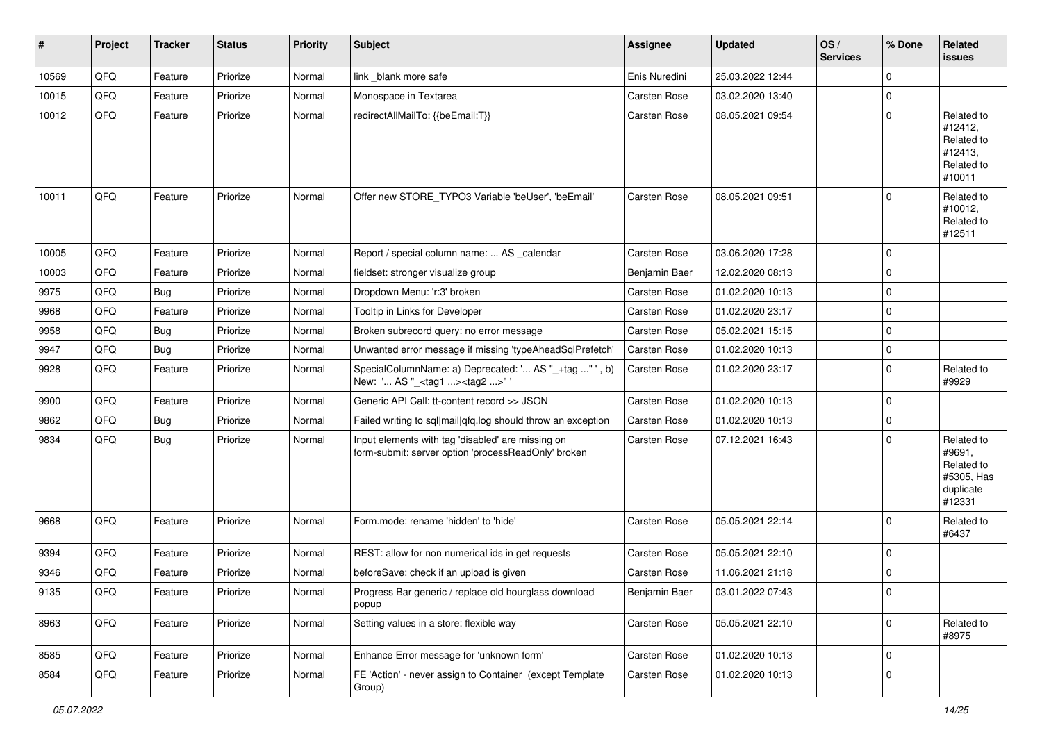| ∦     | Project | <b>Tracker</b> | <b>Status</b> | <b>Priority</b> | <b>Subject</b>                                                                                           | <b>Assignee</b> | <b>Updated</b>   | OS/<br><b>Services</b> | % Done      | Related<br>issues                                                       |
|-------|---------|----------------|---------------|-----------------|----------------------------------------------------------------------------------------------------------|-----------------|------------------|------------------------|-------------|-------------------------------------------------------------------------|
| 10569 | QFQ     | Feature        | Priorize      | Normal          | link _blank more safe                                                                                    | Enis Nuredini   | 25.03.2022 12:44 |                        | 0           |                                                                         |
| 10015 | QFQ     | Feature        | Priorize      | Normal          | Monospace in Textarea                                                                                    | Carsten Rose    | 03.02.2020 13:40 |                        | 0           |                                                                         |
| 10012 | QFQ     | Feature        | Priorize      | Normal          | redirectAllMailTo: {{beEmail:T}}                                                                         | Carsten Rose    | 08.05.2021 09:54 |                        | $\mathbf 0$ | Related to<br>#12412,<br>Related to<br>#12413,<br>Related to<br>#10011  |
| 10011 | QFQ     | Feature        | Priorize      | Normal          | Offer new STORE_TYPO3 Variable 'beUser', 'beEmail'                                                       | Carsten Rose    | 08.05.2021 09:51 |                        | $\Omega$    | Related to<br>#10012,<br>Related to<br>#12511                           |
| 10005 | QFQ     | Feature        | Priorize      | Normal          | Report / special column name:  AS _calendar                                                              | Carsten Rose    | 03.06.2020 17:28 |                        | 0           |                                                                         |
| 10003 | QFQ     | Feature        | Priorize      | Normal          | fieldset: stronger visualize group                                                                       | Benjamin Baer   | 12.02.2020 08:13 |                        | $\Omega$    |                                                                         |
| 9975  | QFQ     | <b>Bug</b>     | Priorize      | Normal          | Dropdown Menu: 'r:3' broken                                                                              | Carsten Rose    | 01.02.2020 10:13 |                        | $\mathbf 0$ |                                                                         |
| 9968  | QFQ     | Feature        | Priorize      | Normal          | Tooltip in Links for Developer                                                                           | Carsten Rose    | 01.02.2020 23:17 |                        | 0           |                                                                         |
| 9958  | QFQ     | Bug            | Priorize      | Normal          | Broken subrecord query: no error message                                                                 | Carsten Rose    | 05.02.2021 15:15 |                        | $\mathbf 0$ |                                                                         |
| 9947  | QFQ     | <b>Bug</b>     | Priorize      | Normal          | Unwanted error message if missing 'typeAheadSqlPrefetch'                                                 | Carsten Rose    | 01.02.2020 10:13 |                        | 0           |                                                                         |
| 9928  | QFQ     | Feature        | Priorize      | Normal          | SpecialColumnName: a) Deprecated: ' AS "_+tag " ', b)<br>New: ' AS "_ <tag1><tag2>"</tag2></tag1>        | Carsten Rose    | 01.02.2020 23:17 |                        | 0           | Related to<br>#9929                                                     |
| 9900  | QFQ     | Feature        | Priorize      | Normal          | Generic API Call: tt-content record >> JSON                                                              | Carsten Rose    | 01.02.2020 10:13 |                        | 0           |                                                                         |
| 9862  | QFQ     | Bug            | Priorize      | Normal          | Failed writing to sql mail qfq.log should throw an exception                                             | Carsten Rose    | 01.02.2020 10:13 |                        | $\mathbf 0$ |                                                                         |
| 9834  | QFQ     | <b>Bug</b>     | Priorize      | Normal          | Input elements with tag 'disabled' are missing on<br>form-submit: server option 'processReadOnly' broken | Carsten Rose    | 07.12.2021 16:43 |                        | $\Omega$    | Related to<br>#9691,<br>Related to<br>#5305, Has<br>duplicate<br>#12331 |
| 9668  | QFQ     | Feature        | Priorize      | Normal          | Form.mode: rename 'hidden' to 'hide'                                                                     | Carsten Rose    | 05.05.2021 22:14 |                        | $\Omega$    | Related to<br>#6437                                                     |
| 9394  | QFQ     | Feature        | Priorize      | Normal          | REST: allow for non numerical ids in get requests                                                        | Carsten Rose    | 05.05.2021 22:10 |                        | $\mathbf 0$ |                                                                         |
| 9346  | QFQ     | Feature        | Priorize      | Normal          | beforeSave: check if an upload is given                                                                  | Carsten Rose    | 11.06.2021 21:18 |                        | 0           |                                                                         |
| 9135  | QFG     | Feature        | Priorize      | Normal          | Progress Bar generic / replace old hourglass download<br>popup                                           | Benjamin Baer   | 03.01.2022 07:43 |                        | U           |                                                                         |
| 8963  | QFQ     | Feature        | Priorize      | Normal          | Setting values in a store: flexible way                                                                  | Carsten Rose    | 05.05.2021 22:10 |                        | $\pmb{0}$   | Related to<br>#8975                                                     |
| 8585  | QFQ     | Feature        | Priorize      | Normal          | Enhance Error message for 'unknown form'                                                                 | Carsten Rose    | 01.02.2020 10:13 |                        | 0           |                                                                         |
| 8584  | QFQ     | Feature        | Priorize      | Normal          | FE 'Action' - never assign to Container (except Template<br>Group)                                       | Carsten Rose    | 01.02.2020 10:13 |                        | 0           |                                                                         |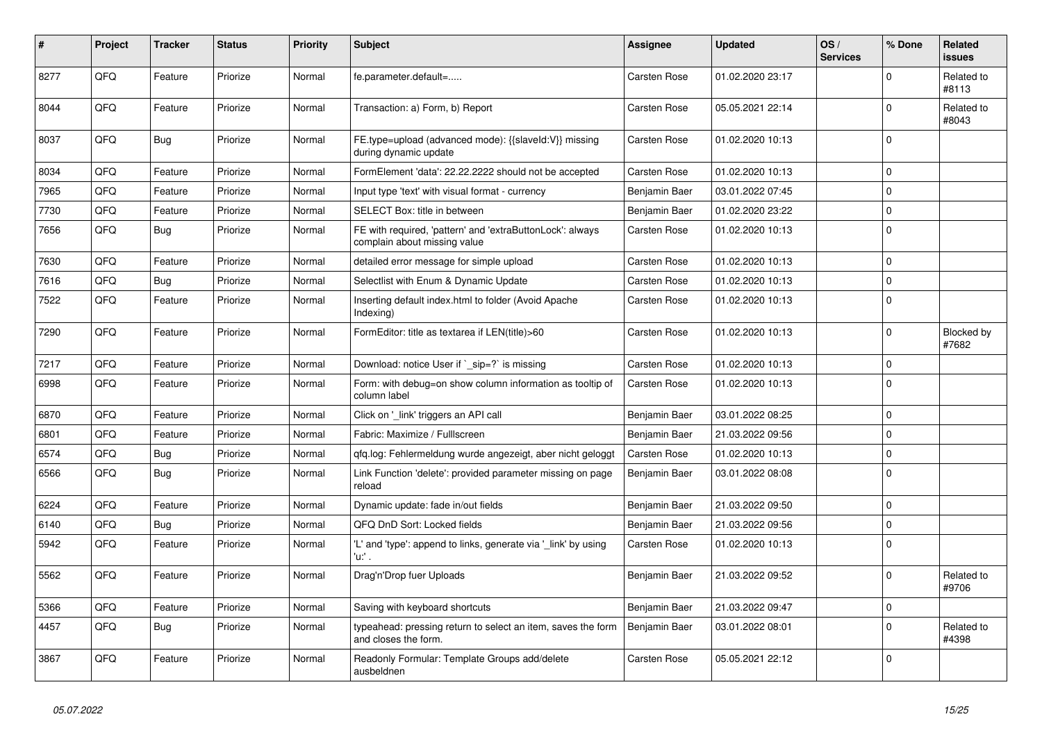| #    | Project | <b>Tracker</b> | <b>Status</b> | <b>Priority</b> | <b>Subject</b>                                                                            | <b>Assignee</b> | <b>Updated</b>   | OS/<br><b>Services</b> | % Done      | Related<br><b>issues</b> |
|------|---------|----------------|---------------|-----------------|-------------------------------------------------------------------------------------------|-----------------|------------------|------------------------|-------------|--------------------------|
| 8277 | QFQ     | Feature        | Priorize      | Normal          | fe.parameter.default=                                                                     | Carsten Rose    | 01.02.2020 23:17 |                        | $\Omega$    | Related to<br>#8113      |
| 8044 | QFQ     | Feature        | Priorize      | Normal          | Transaction: a) Form, b) Report                                                           | Carsten Rose    | 05.05.2021 22:14 |                        | $\mathbf 0$ | Related to<br>#8043      |
| 8037 | QFQ     | <b>Bug</b>     | Priorize      | Normal          | FE.type=upload (advanced mode): {{slaveld:V}} missing<br>during dynamic update            | Carsten Rose    | 01.02.2020 10:13 |                        | $\mathbf 0$ |                          |
| 8034 | QFQ     | Feature        | Priorize      | Normal          | FormElement 'data': 22.22.2222 should not be accepted                                     | Carsten Rose    | 01.02.2020 10:13 |                        | $\mathbf 0$ |                          |
| 7965 | QFQ     | Feature        | Priorize      | Normal          | Input type 'text' with visual format - currency                                           | Benjamin Baer   | 03.01.2022 07:45 |                        | $\mathbf 0$ |                          |
| 7730 | QFQ     | Feature        | Priorize      | Normal          | SELECT Box: title in between                                                              | Benjamin Baer   | 01.02.2020 23:22 |                        | $\mathbf 0$ |                          |
| 7656 | QFQ     | <b>Bug</b>     | Priorize      | Normal          | FE with required, 'pattern' and 'extraButtonLock': always<br>complain about missing value | Carsten Rose    | 01.02.2020 10:13 |                        | $\mathbf 0$ |                          |
| 7630 | QFQ     | Feature        | Priorize      | Normal          | detailed error message for simple upload                                                  | Carsten Rose    | 01.02.2020 10:13 |                        | $\mathbf 0$ |                          |
| 7616 | QFQ     | Bug            | Priorize      | Normal          | Selectlist with Enum & Dynamic Update                                                     | Carsten Rose    | 01.02.2020 10:13 |                        | $\mathbf 0$ |                          |
| 7522 | QFQ     | Feature        | Priorize      | Normal          | Inserting default index.html to folder (Avoid Apache<br>Indexing)                         | Carsten Rose    | 01.02.2020 10:13 |                        | $\mathbf 0$ |                          |
| 7290 | QFQ     | Feature        | Priorize      | Normal          | FormEditor: title as textarea if LEN(title)>60                                            | Carsten Rose    | 01.02.2020 10:13 |                        | $\pmb{0}$   | Blocked by<br>#7682      |
| 7217 | QFQ     | Feature        | Priorize      | Normal          | Download: notice User if `_sip=?` is missing                                              | Carsten Rose    | 01.02.2020 10:13 |                        | $\Omega$    |                          |
| 6998 | QFQ     | Feature        | Priorize      | Normal          | Form: with debug=on show column information as tooltip of<br>column label                 | Carsten Rose    | 01.02.2020 10:13 |                        | $\Omega$    |                          |
| 6870 | QFQ     | Feature        | Priorize      | Normal          | Click on '_link' triggers an API call                                                     | Benjamin Baer   | 03.01.2022 08:25 |                        | $\mathbf 0$ |                          |
| 6801 | QFQ     | Feature        | Priorize      | Normal          | Fabric: Maximize / Fulllscreen                                                            | Benjamin Baer   | 21.03.2022 09:56 |                        | $\mathbf 0$ |                          |
| 6574 | QFQ     | <b>Bug</b>     | Priorize      | Normal          | gfg.log: Fehlermeldung wurde angezeigt, aber nicht geloggt                                | Carsten Rose    | 01.02.2020 10:13 |                        | $\pmb{0}$   |                          |
| 6566 | QFQ     | <b>Bug</b>     | Priorize      | Normal          | Link Function 'delete': provided parameter missing on page<br>reload                      | Benjamin Baer   | 03.01.2022 08:08 |                        | $\mathbf 0$ |                          |
| 6224 | QFQ     | Feature        | Priorize      | Normal          | Dynamic update: fade in/out fields                                                        | Benjamin Baer   | 21.03.2022 09:50 |                        | $\mathbf 0$ |                          |
| 6140 | QFQ     | <b>Bug</b>     | Priorize      | Normal          | QFQ DnD Sort: Locked fields                                                               | Benjamin Baer   | 21.03.2022 09:56 |                        | $\mathbf 0$ |                          |
| 5942 | QFQ     | Feature        | Priorize      | Normal          | 'L' and 'type': append to links, generate via 'link' by using<br>'u:' .                   | Carsten Rose    | 01.02.2020 10:13 |                        | $\mathbf 0$ |                          |
| 5562 | QFQ     | Feature        | Priorize      | Normal          | Drag'n'Drop fuer Uploads                                                                  | Benjamin Baer   | 21.03.2022 09:52 |                        | $\mathbf 0$ | Related to<br>#9706      |
| 5366 | QFQ     | Feature        | Priorize      | Normal          | Saving with keyboard shortcuts                                                            | Benjamin Baer   | 21.03.2022 09:47 |                        | $\mathbf 0$ |                          |
| 4457 | QFQ     | Bug            | Priorize      | Normal          | typeahead: pressing return to select an item, saves the form<br>and closes the form.      | Benjamin Baer   | 03.01.2022 08:01 |                        | $\mathbf 0$ | Related to<br>#4398      |
| 3867 | QFQ     | Feature        | Priorize      | Normal          | Readonly Formular: Template Groups add/delete<br>ausbeldnen                               | Carsten Rose    | 05.05.2021 22:12 |                        | $\mathbf 0$ |                          |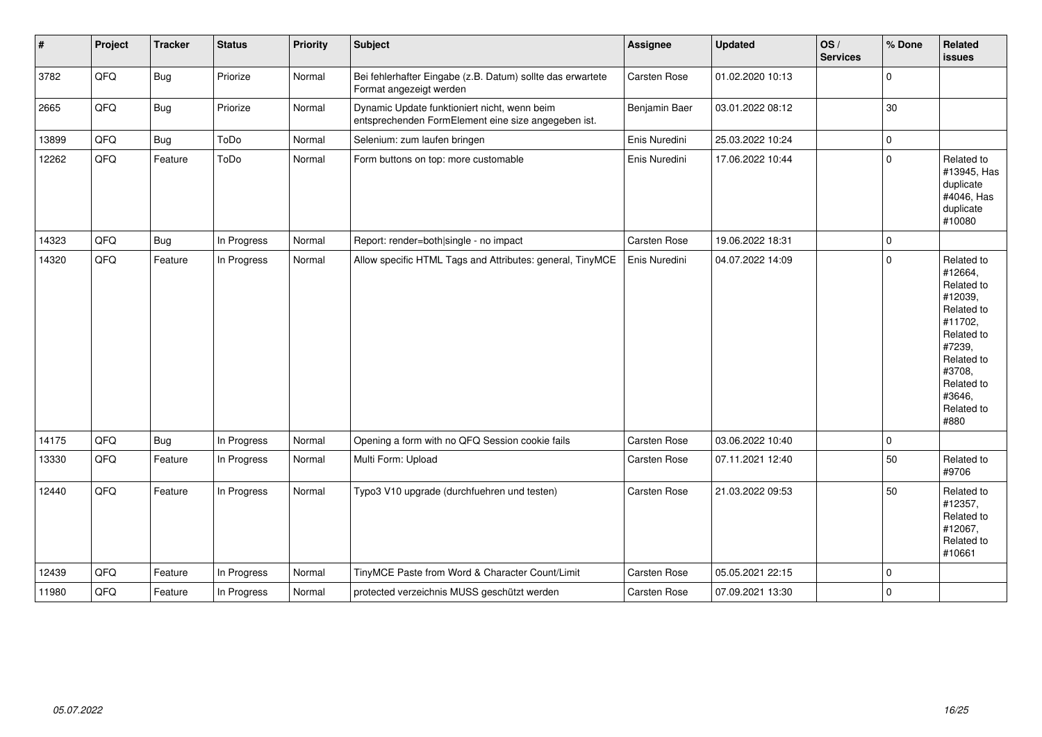| $\vert$ # | Project | <b>Tracker</b> | <b>Status</b> | <b>Priority</b> | <b>Subject</b>                                                                                      | Assignee      | <b>Updated</b>   | OS/<br><b>Services</b> | % Done      | Related<br><b>issues</b>                                                                                                                                              |
|-----------|---------|----------------|---------------|-----------------|-----------------------------------------------------------------------------------------------------|---------------|------------------|------------------------|-------------|-----------------------------------------------------------------------------------------------------------------------------------------------------------------------|
| 3782      | QFQ     | <b>Bug</b>     | Priorize      | Normal          | Bei fehlerhafter Eingabe (z.B. Datum) sollte das erwartete<br>Format angezeigt werden               | Carsten Rose  | 01.02.2020 10:13 |                        | $\pmb{0}$   |                                                                                                                                                                       |
| 2665      | QFQ     | Bug            | Priorize      | Normal          | Dynamic Update funktioniert nicht, wenn beim<br>entsprechenden FormElement eine size angegeben ist. | Benjamin Baer | 03.01.2022 08:12 |                        | 30          |                                                                                                                                                                       |
| 13899     | QFQ     | <b>Bug</b>     | ToDo          | Normal          | Selenium: zum laufen bringen                                                                        | Enis Nuredini | 25.03.2022 10:24 |                        | $\mathbf 0$ |                                                                                                                                                                       |
| 12262     | QFQ     | Feature        | ToDo          | Normal          | Form buttons on top: more customable                                                                | Enis Nuredini | 17.06.2022 10:44 |                        | $\mathbf 0$ | Related to<br>#13945, Has<br>duplicate<br>#4046, Has<br>duplicate<br>#10080                                                                                           |
| 14323     | QFQ     | <b>Bug</b>     | In Progress   | Normal          | Report: render=both single - no impact                                                              | Carsten Rose  | 19.06.2022 18:31 |                        | $\mathbf 0$ |                                                                                                                                                                       |
| 14320     | QFQ     | Feature        | In Progress   | Normal          | Allow specific HTML Tags and Attributes: general, TinyMCE                                           | Enis Nuredini | 04.07.2022 14:09 |                        | $\mathbf 0$ | Related to<br>#12664,<br>Related to<br>#12039,<br>Related to<br>#11702,<br>Related to<br>#7239,<br>Related to<br>#3708,<br>Related to<br>#3646,<br>Related to<br>#880 |
| 14175     | QFQ     | <b>Bug</b>     | In Progress   | Normal          | Opening a form with no QFQ Session cookie fails                                                     | Carsten Rose  | 03.06.2022 10:40 |                        | $\pmb{0}$   |                                                                                                                                                                       |
| 13330     | QFQ     | Feature        | In Progress   | Normal          | Multi Form: Upload                                                                                  | Carsten Rose  | 07.11.2021 12:40 |                        | 50          | Related to<br>#9706                                                                                                                                                   |
| 12440     | QFQ     | Feature        | In Progress   | Normal          | Typo3 V10 upgrade (durchfuehren und testen)                                                         | Carsten Rose  | 21.03.2022 09:53 |                        | 50          | Related to<br>#12357,<br>Related to<br>#12067,<br>Related to<br>#10661                                                                                                |
| 12439     | QFQ     | Feature        | In Progress   | Normal          | TinyMCE Paste from Word & Character Count/Limit                                                     | Carsten Rose  | 05.05.2021 22:15 |                        | $\mathbf 0$ |                                                                                                                                                                       |
| 11980     | QFQ     | Feature        | In Progress   | Normal          | protected verzeichnis MUSS geschützt werden                                                         | Carsten Rose  | 07.09.2021 13:30 |                        | $\mathbf 0$ |                                                                                                                                                                       |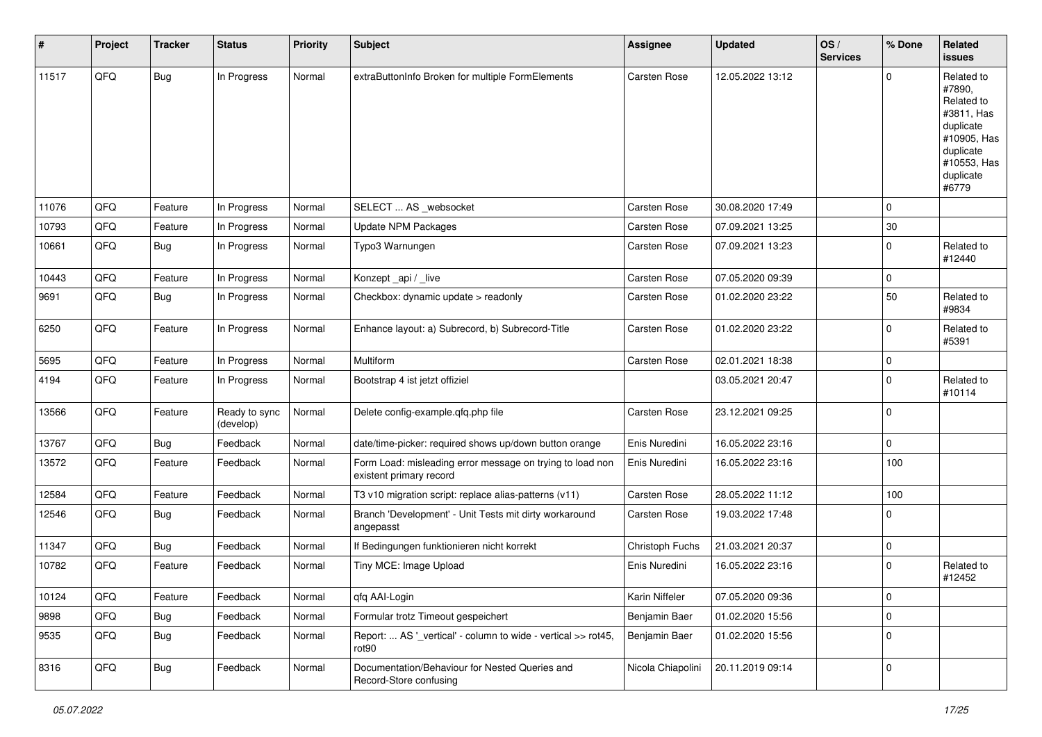| #     | Project | <b>Tracker</b> | <b>Status</b>              | <b>Priority</b> | <b>Subject</b>                                                                       | <b>Assignee</b>   | <b>Updated</b>   | OS/<br><b>Services</b> | % Done      | Related<br>issues                                                                                                              |
|-------|---------|----------------|----------------------------|-----------------|--------------------------------------------------------------------------------------|-------------------|------------------|------------------------|-------------|--------------------------------------------------------------------------------------------------------------------------------|
| 11517 | QFQ     | Bug            | In Progress                | Normal          | extraButtonInfo Broken for multiple FormElements                                     | Carsten Rose      | 12.05.2022 13:12 |                        | $\Omega$    | Related to<br>#7890.<br>Related to<br>#3811, Has<br>duplicate<br>#10905, Has<br>duplicate<br>#10553, Has<br>duplicate<br>#6779 |
| 11076 | QFQ     | Feature        | In Progress                | Normal          | SELECT  AS _websocket                                                                | Carsten Rose      | 30.08.2020 17:49 |                        | $\mathbf 0$ |                                                                                                                                |
| 10793 | QFQ     | Feature        | In Progress                | Normal          | Update NPM Packages                                                                  | Carsten Rose      | 07.09.2021 13:25 |                        | $30\,$      |                                                                                                                                |
| 10661 | QFQ     | Bug            | In Progress                | Normal          | Typo3 Warnungen                                                                      | Carsten Rose      | 07.09.2021 13:23 |                        | $\mathbf 0$ | Related to<br>#12440                                                                                                           |
| 10443 | QFQ     | Feature        | In Progress                | Normal          | Konzept_api / _live                                                                  | Carsten Rose      | 07.05.2020 09:39 |                        | $\mathbf 0$ |                                                                                                                                |
| 9691  | QFQ     | Bug            | In Progress                | Normal          | Checkbox: dynamic update > readonly                                                  | Carsten Rose      | 01.02.2020 23:22 |                        | 50          | Related to<br>#9834                                                                                                            |
| 6250  | QFQ     | Feature        | In Progress                | Normal          | Enhance layout: a) Subrecord, b) Subrecord-Title                                     | Carsten Rose      | 01.02.2020 23:22 |                        | $\Omega$    | Related to<br>#5391                                                                                                            |
| 5695  | QFQ     | Feature        | In Progress                | Normal          | Multiform                                                                            | Carsten Rose      | 02.01.2021 18:38 |                        | $\mathbf 0$ |                                                                                                                                |
| 4194  | QFQ     | Feature        | In Progress                | Normal          | Bootstrap 4 ist jetzt offiziel                                                       |                   | 03.05.2021 20:47 |                        | $\Omega$    | Related to<br>#10114                                                                                                           |
| 13566 | QFQ     | Feature        | Ready to sync<br>(develop) | Normal          | Delete config-example.qfq.php file                                                   | Carsten Rose      | 23.12.2021 09:25 |                        | $\mathbf 0$ |                                                                                                                                |
| 13767 | QFQ     | Bug            | Feedback                   | Normal          | date/time-picker: required shows up/down button orange                               | Enis Nuredini     | 16.05.2022 23:16 |                        | $\mathbf 0$ |                                                                                                                                |
| 13572 | QFQ     | Feature        | Feedback                   | Normal          | Form Load: misleading error message on trying to load non<br>existent primary record | Enis Nuredini     | 16.05.2022 23:16 |                        | 100         |                                                                                                                                |
| 12584 | QFQ     | Feature        | Feedback                   | Normal          | T3 v10 migration script: replace alias-patterns (v11)                                | Carsten Rose      | 28.05.2022 11:12 |                        | 100         |                                                                                                                                |
| 12546 | QFQ     | Bug            | Feedback                   | Normal          | Branch 'Development' - Unit Tests mit dirty workaround<br>angepasst                  | Carsten Rose      | 19.03.2022 17:48 |                        | $\Omega$    |                                                                                                                                |
| 11347 | QFQ     | Bug            | Feedback                   | Normal          | If Bedingungen funktionieren nicht korrekt                                           | Christoph Fuchs   | 21.03.2021 20:37 |                        | 0           |                                                                                                                                |
| 10782 | QFQ     | Feature        | Feedback                   | Normal          | Tiny MCE: Image Upload                                                               | Enis Nuredini     | 16.05.2022 23:16 |                        | $\Omega$    | Related to<br>#12452                                                                                                           |
| 10124 | QFQ     | Feature        | Feedback                   | Normal          | qfq AAI-Login                                                                        | Karin Niffeler    | 07.05.2020 09:36 |                        | $\mathbf 0$ |                                                                                                                                |
| 9898  | QFQ     | <b>Bug</b>     | Feedback                   | Normal          | Formular trotz Timeout gespeichert                                                   | Benjamin Baer     | 01.02.2020 15:56 |                        | $\pmb{0}$   |                                                                                                                                |
| 9535  | QFQ     | <b>Bug</b>     | Feedback                   | Normal          | Report:  AS '_vertical' - column to wide - vertical >> rot45,<br>rot90               | Benjamin Baer     | 01.02.2020 15:56 |                        | $\mathbf 0$ |                                                                                                                                |
| 8316  | QFQ     | <b>Bug</b>     | Feedback                   | Normal          | Documentation/Behaviour for Nested Queries and<br>Record-Store confusing             | Nicola Chiapolini | 20.11.2019 09:14 |                        | $\mathbf 0$ |                                                                                                                                |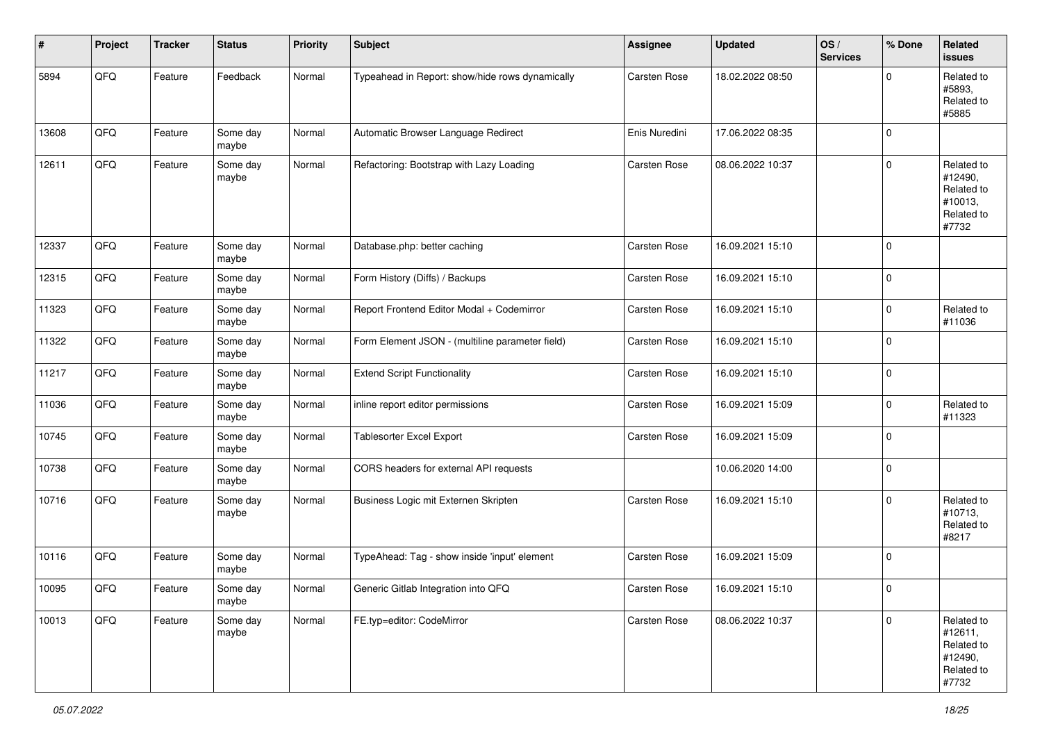| #     | Project | <b>Tracker</b> | <b>Status</b>     | <b>Priority</b> | <b>Subject</b>                                  | <b>Assignee</b> | <b>Updated</b>   | OS/<br><b>Services</b> | % Done      | Related<br><b>issues</b>                                              |
|-------|---------|----------------|-------------------|-----------------|-------------------------------------------------|-----------------|------------------|------------------------|-------------|-----------------------------------------------------------------------|
| 5894  | QFQ     | Feature        | Feedback          | Normal          | Typeahead in Report: show/hide rows dynamically | Carsten Rose    | 18.02.2022 08:50 |                        | $\Omega$    | Related to<br>#5893,<br>Related to<br>#5885                           |
| 13608 | QFQ     | Feature        | Some day<br>maybe | Normal          | Automatic Browser Language Redirect             | Enis Nuredini   | 17.06.2022 08:35 |                        | $\Omega$    |                                                                       |
| 12611 | QFQ     | Feature        | Some day<br>maybe | Normal          | Refactoring: Bootstrap with Lazy Loading        | Carsten Rose    | 08.06.2022 10:37 |                        | $\Omega$    | Related to<br>#12490,<br>Related to<br>#10013,<br>Related to<br>#7732 |
| 12337 | QFQ     | Feature        | Some day<br>maybe | Normal          | Database.php: better caching                    | Carsten Rose    | 16.09.2021 15:10 |                        | $\mathbf 0$ |                                                                       |
| 12315 | QFQ     | Feature        | Some day<br>maybe | Normal          | Form History (Diffs) / Backups                  | Carsten Rose    | 16.09.2021 15:10 |                        | $\mathbf 0$ |                                                                       |
| 11323 | QFQ     | Feature        | Some day<br>maybe | Normal          | Report Frontend Editor Modal + Codemirror       | Carsten Rose    | 16.09.2021 15:10 |                        | $\mathbf 0$ | Related to<br>#11036                                                  |
| 11322 | QFQ     | Feature        | Some day<br>maybe | Normal          | Form Element JSON - (multiline parameter field) | Carsten Rose    | 16.09.2021 15:10 |                        | $\mathbf 0$ |                                                                       |
| 11217 | QFQ     | Feature        | Some day<br>maybe | Normal          | <b>Extend Script Functionality</b>              | Carsten Rose    | 16.09.2021 15:10 |                        | $\mathbf 0$ |                                                                       |
| 11036 | QFQ     | Feature        | Some day<br>maybe | Normal          | inline report editor permissions                | Carsten Rose    | 16.09.2021 15:09 |                        | $\mathbf 0$ | Related to<br>#11323                                                  |
| 10745 | QFQ     | Feature        | Some day<br>maybe | Normal          | <b>Tablesorter Excel Export</b>                 | Carsten Rose    | 16.09.2021 15:09 |                        | $\mathbf 0$ |                                                                       |
| 10738 | QFQ     | Feature        | Some day<br>maybe | Normal          | CORS headers for external API requests          |                 | 10.06.2020 14:00 |                        | $\mathbf 0$ |                                                                       |
| 10716 | QFQ     | Feature        | Some day<br>maybe | Normal          | Business Logic mit Externen Skripten            | Carsten Rose    | 16.09.2021 15:10 |                        | $\Omega$    | Related to<br>#10713,<br>Related to<br>#8217                          |
| 10116 | QFQ     | Feature        | Some day<br>maybe | Normal          | TypeAhead: Tag - show inside 'input' element    | Carsten Rose    | 16.09.2021 15:09 |                        | $\Omega$    |                                                                       |
| 10095 | QFG     | Feature        | Some day<br>maybe | Normal          | Generic Gitlab Integration into QFQ             | Carsten Rose    | 16.09.2021 15:10 |                        | $\Omega$    |                                                                       |
| 10013 | QFQ     | Feature        | Some day<br>maybe | Normal          | FE.typ=editor: CodeMirror                       | Carsten Rose    | 08.06.2022 10:37 |                        | $\mathbf 0$ | Related to<br>#12611,<br>Related to<br>#12490,<br>Related to<br>#7732 |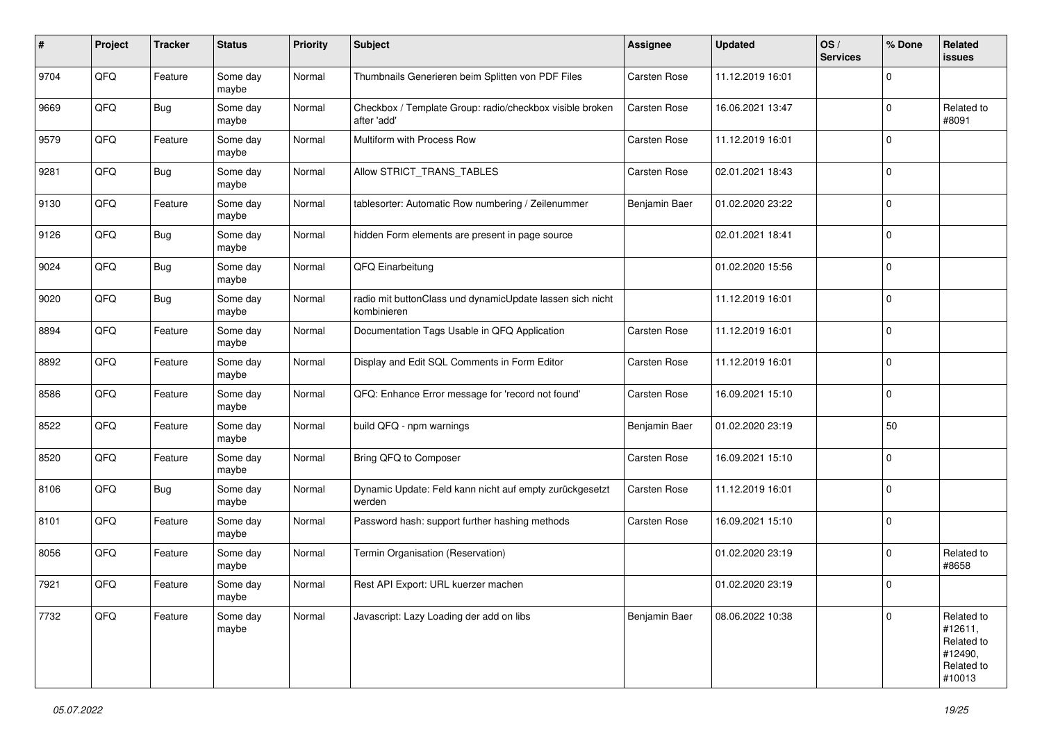| #    | Project | <b>Tracker</b> | <b>Status</b>     | <b>Priority</b> | <b>Subject</b>                                                           | <b>Assignee</b> | <b>Updated</b>   | OS/<br><b>Services</b> | % Done      | Related<br><b>issues</b>                                               |
|------|---------|----------------|-------------------|-----------------|--------------------------------------------------------------------------|-----------------|------------------|------------------------|-------------|------------------------------------------------------------------------|
| 9704 | QFQ     | Feature        | Some day<br>maybe | Normal          | Thumbnails Generieren beim Splitten von PDF Files                        | Carsten Rose    | 11.12.2019 16:01 |                        | $\mathbf 0$ |                                                                        |
| 9669 | QFQ     | <b>Bug</b>     | Some day<br>maybe | Normal          | Checkbox / Template Group: radio/checkbox visible broken<br>after 'add'  | Carsten Rose    | 16.06.2021 13:47 |                        | $\mathbf 0$ | Related to<br>#8091                                                    |
| 9579 | QFQ     | Feature        | Some day<br>maybe | Normal          | Multiform with Process Row                                               | Carsten Rose    | 11.12.2019 16:01 |                        | $\mathbf 0$ |                                                                        |
| 9281 | QFQ     | <b>Bug</b>     | Some day<br>maybe | Normal          | Allow STRICT_TRANS_TABLES                                                | Carsten Rose    | 02.01.2021 18:43 |                        | $\mathbf 0$ |                                                                        |
| 9130 | QFQ     | Feature        | Some day<br>maybe | Normal          | tablesorter: Automatic Row numbering / Zeilenummer                       | Benjamin Baer   | 01.02.2020 23:22 |                        | $\mathbf 0$ |                                                                        |
| 9126 | QFQ     | <b>Bug</b>     | Some day<br>maybe | Normal          | hidden Form elements are present in page source                          |                 | 02.01.2021 18:41 |                        | $\mathbf 0$ |                                                                        |
| 9024 | QFQ     | <b>Bug</b>     | Some day<br>maybe | Normal          | QFQ Einarbeitung                                                         |                 | 01.02.2020 15:56 |                        | $\mathbf 0$ |                                                                        |
| 9020 | QFQ     | <b>Bug</b>     | Some day<br>maybe | Normal          | radio mit buttonClass und dynamicUpdate lassen sich nicht<br>kombinieren |                 | 11.12.2019 16:01 |                        | $\mathbf 0$ |                                                                        |
| 8894 | QFQ     | Feature        | Some day<br>maybe | Normal          | Documentation Tags Usable in QFQ Application                             | Carsten Rose    | 11.12.2019 16:01 |                        | $\mathbf 0$ |                                                                        |
| 8892 | QFQ     | Feature        | Some day<br>maybe | Normal          | Display and Edit SQL Comments in Form Editor                             | Carsten Rose    | 11.12.2019 16:01 |                        | 0           |                                                                        |
| 8586 | QFQ     | Feature        | Some day<br>maybe | Normal          | QFQ: Enhance Error message for 'record not found'                        | Carsten Rose    | 16.09.2021 15:10 |                        | $\mathbf 0$ |                                                                        |
| 8522 | QFQ     | Feature        | Some day<br>maybe | Normal          | build QFQ - npm warnings                                                 | Benjamin Baer   | 01.02.2020 23:19 |                        | 50          |                                                                        |
| 8520 | QFQ     | Feature        | Some day<br>maybe | Normal          | Bring QFQ to Composer                                                    | Carsten Rose    | 16.09.2021 15:10 |                        | $\mathbf 0$ |                                                                        |
| 8106 | QFQ     | <b>Bug</b>     | Some day<br>maybe | Normal          | Dynamic Update: Feld kann nicht auf empty zurückgesetzt<br>werden        | Carsten Rose    | 11.12.2019 16:01 |                        | $\pmb{0}$   |                                                                        |
| 8101 | QFQ     | Feature        | Some day<br>maybe | Normal          | Password hash: support further hashing methods                           | Carsten Rose    | 16.09.2021 15:10 |                        | $\mathbf 0$ |                                                                        |
| 8056 | QFQ     | Feature        | Some day<br>maybe | Normal          | Termin Organisation (Reservation)                                        |                 | 01.02.2020 23:19 |                        | $\mathbf 0$ | Related to<br>#8658                                                    |
| 7921 | QFQ     | Feature        | Some day<br>maybe | Normal          | Rest API Export: URL kuerzer machen                                      |                 | 01.02.2020 23:19 |                        | $\mathbf 0$ |                                                                        |
| 7732 | QFQ     | Feature        | Some day<br>maybe | Normal          | Javascript: Lazy Loading der add on libs                                 | Benjamin Baer   | 08.06.2022 10:38 |                        | $\mathbf 0$ | Related to<br>#12611,<br>Related to<br>#12490,<br>Related to<br>#10013 |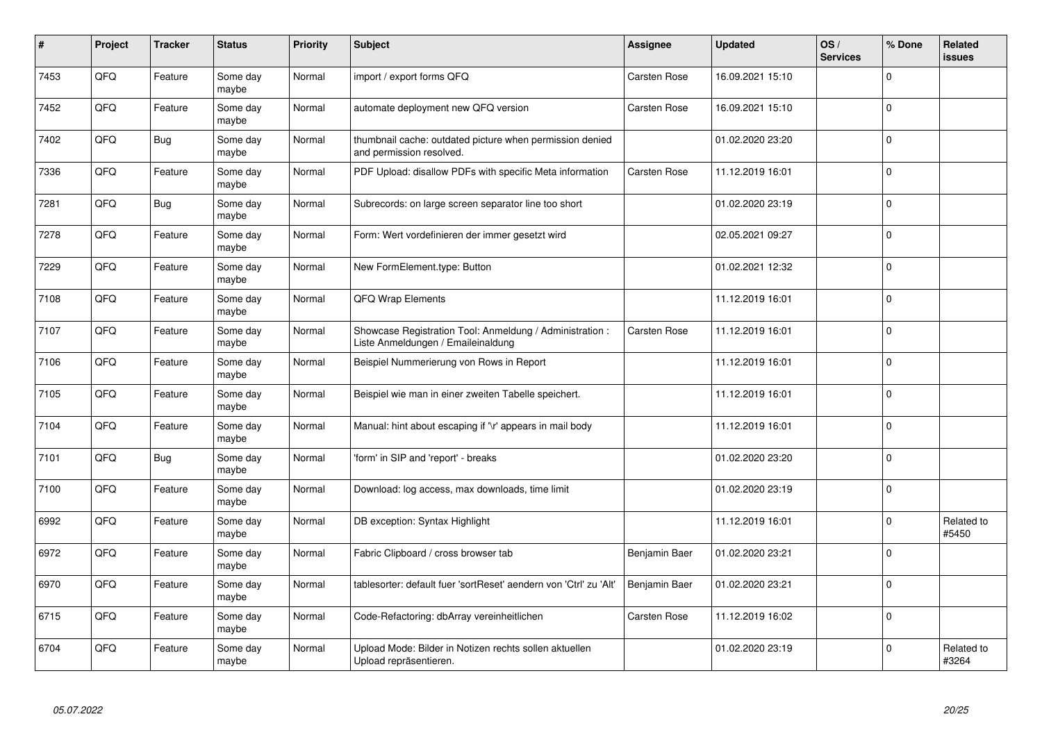| #    | Project | <b>Tracker</b> | <b>Status</b>     | <b>Priority</b> | <b>Subject</b>                                                                                 | <b>Assignee</b> | <b>Updated</b>   | OS/<br><b>Services</b> | % Done      | Related<br><b>issues</b> |
|------|---------|----------------|-------------------|-----------------|------------------------------------------------------------------------------------------------|-----------------|------------------|------------------------|-------------|--------------------------|
| 7453 | QFQ     | Feature        | Some day<br>maybe | Normal          | import / export forms QFQ                                                                      | Carsten Rose    | 16.09.2021 15:10 |                        | $\Omega$    |                          |
| 7452 | QFQ     | Feature        | Some day<br>maybe | Normal          | automate deployment new QFQ version                                                            | Carsten Rose    | 16.09.2021 15:10 |                        | $\mathbf 0$ |                          |
| 7402 | QFQ     | <b>Bug</b>     | Some day<br>maybe | Normal          | thumbnail cache: outdated picture when permission denied<br>and permission resolved.           |                 | 01.02.2020 23:20 |                        | $\mathbf 0$ |                          |
| 7336 | QFQ     | Feature        | Some day<br>maybe | Normal          | PDF Upload: disallow PDFs with specific Meta information                                       | Carsten Rose    | 11.12.2019 16:01 |                        | $\mathbf 0$ |                          |
| 7281 | QFQ     | <b>Bug</b>     | Some day<br>maybe | Normal          | Subrecords: on large screen separator line too short                                           |                 | 01.02.2020 23:19 |                        | $\mathbf 0$ |                          |
| 7278 | QFQ     | Feature        | Some day<br>maybe | Normal          | Form: Wert vordefinieren der immer gesetzt wird                                                |                 | 02.05.2021 09:27 |                        | $\mathbf 0$ |                          |
| 7229 | QFQ     | Feature        | Some day<br>maybe | Normal          | New FormElement.type: Button                                                                   |                 | 01.02.2021 12:32 |                        | $\mathbf 0$ |                          |
| 7108 | QFQ     | Feature        | Some day<br>maybe | Normal          | QFQ Wrap Elements                                                                              |                 | 11.12.2019 16:01 |                        | $\mathbf 0$ |                          |
| 7107 | QFQ     | Feature        | Some day<br>maybe | Normal          | Showcase Registration Tool: Anmeldung / Administration :<br>Liste Anmeldungen / Emaileinaldung | Carsten Rose    | 11.12.2019 16:01 |                        | $\pmb{0}$   |                          |
| 7106 | QFQ     | Feature        | Some day<br>maybe | Normal          | Beispiel Nummerierung von Rows in Report                                                       |                 | 11.12.2019 16:01 |                        | $\mathbf 0$ |                          |
| 7105 | QFQ     | Feature        | Some day<br>maybe | Normal          | Beispiel wie man in einer zweiten Tabelle speichert.                                           |                 | 11.12.2019 16:01 |                        | $\mathbf 0$ |                          |
| 7104 | QFQ     | Feature        | Some day<br>maybe | Normal          | Manual: hint about escaping if '\r' appears in mail body                                       |                 | 11.12.2019 16:01 |                        | $\mathbf 0$ |                          |
| 7101 | QFQ     | <b>Bug</b>     | Some day<br>maybe | Normal          | 'form' in SIP and 'report' - breaks                                                            |                 | 01.02.2020 23:20 |                        | $\pmb{0}$   |                          |
| 7100 | QFQ     | Feature        | Some day<br>maybe | Normal          | Download: log access, max downloads, time limit                                                |                 | 01.02.2020 23:19 |                        | $\mathbf 0$ |                          |
| 6992 | QFQ     | Feature        | Some day<br>maybe | Normal          | DB exception: Syntax Highlight                                                                 |                 | 11.12.2019 16:01 |                        | $\mathbf 0$ | Related to<br>#5450      |
| 6972 | QFQ     | Feature        | Some day<br>maybe | Normal          | Fabric Clipboard / cross browser tab                                                           | Benjamin Baer   | 01.02.2020 23:21 |                        | $\mathbf 0$ |                          |
| 6970 | QFQ     | Feature        | Some day<br>maybe | Normal          | tablesorter: default fuer 'sortReset' aendern von 'Ctrl' zu 'Alt'                              | Benjamin Baer   | 01.02.2020 23:21 |                        | $\pmb{0}$   |                          |
| 6715 | QFQ     | Feature        | Some day<br>maybe | Normal          | Code-Refactoring: dbArray vereinheitlichen                                                     | Carsten Rose    | 11.12.2019 16:02 |                        | $\mathbf 0$ |                          |
| 6704 | QFQ     | Feature        | Some day<br>maybe | Normal          | Upload Mode: Bilder in Notizen rechts sollen aktuellen<br>Upload repräsentieren.               |                 | 01.02.2020 23:19 |                        | $\mathbf 0$ | Related to<br>#3264      |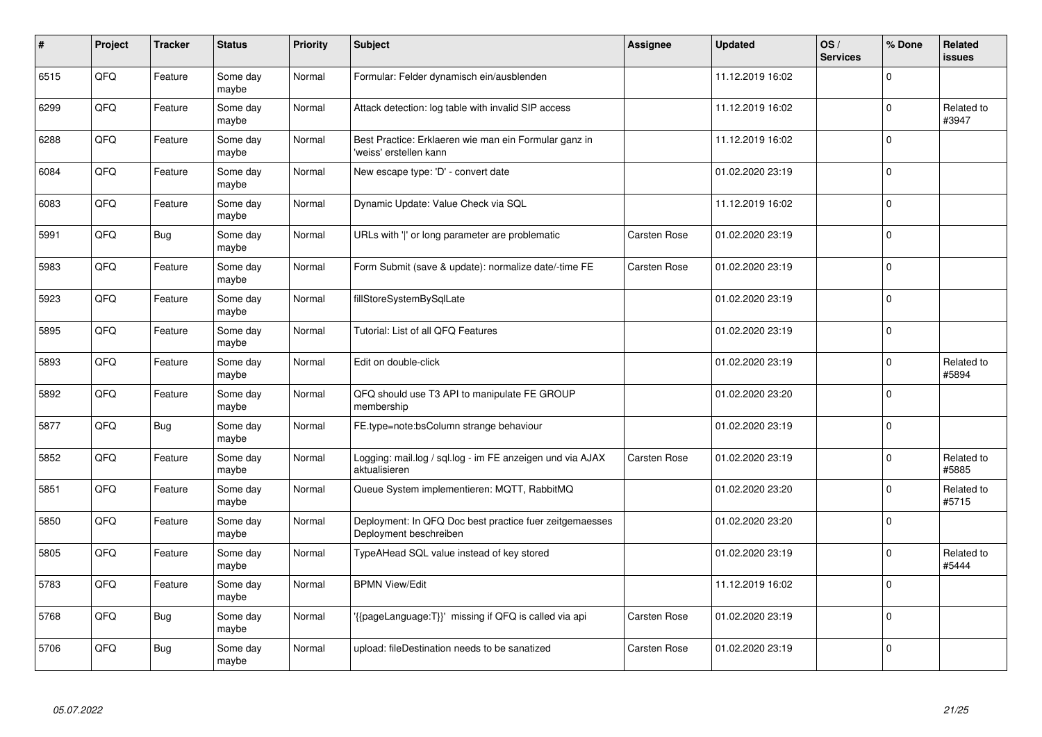| #    | Project | <b>Tracker</b> | <b>Status</b>     | <b>Priority</b> | <b>Subject</b>                                                                    | <b>Assignee</b> | <b>Updated</b>   | OS/<br><b>Services</b> | % Done      | Related<br><b>issues</b> |
|------|---------|----------------|-------------------|-----------------|-----------------------------------------------------------------------------------|-----------------|------------------|------------------------|-------------|--------------------------|
| 6515 | QFQ     | Feature        | Some day<br>maybe | Normal          | Formular: Felder dynamisch ein/ausblenden                                         |                 | 11.12.2019 16:02 |                        | $\Omega$    |                          |
| 6299 | QFQ     | Feature        | Some day<br>maybe | Normal          | Attack detection: log table with invalid SIP access                               |                 | 11.12.2019 16:02 |                        | $\mathbf 0$ | Related to<br>#3947      |
| 6288 | QFQ     | Feature        | Some day<br>maybe | Normal          | Best Practice: Erklaeren wie man ein Formular ganz in<br>'weiss' erstellen kann   |                 | 11.12.2019 16:02 |                        | $\pmb{0}$   |                          |
| 6084 | QFQ     | Feature        | Some day<br>maybe | Normal          | New escape type: 'D' - convert date                                               |                 | 01.02.2020 23:19 |                        | $\Omega$    |                          |
| 6083 | QFQ     | Feature        | Some day<br>maybe | Normal          | Dynamic Update: Value Check via SQL                                               |                 | 11.12.2019 16:02 |                        | $\mathbf 0$ |                          |
| 5991 | QFQ     | Bug            | Some day<br>maybe | Normal          | URLs with ' ' or long parameter are problematic                                   | Carsten Rose    | 01.02.2020 23:19 |                        | $\mathbf 0$ |                          |
| 5983 | QFQ     | Feature        | Some day<br>maybe | Normal          | Form Submit (save & update): normalize date/-time FE                              | Carsten Rose    | 01.02.2020 23:19 |                        | $\pmb{0}$   |                          |
| 5923 | QFQ     | Feature        | Some day<br>maybe | Normal          | fillStoreSystemBySqlLate                                                          |                 | 01.02.2020 23:19 |                        | $\mathbf 0$ |                          |
| 5895 | QFQ     | Feature        | Some day<br>maybe | Normal          | Tutorial: List of all QFQ Features                                                |                 | 01.02.2020 23:19 |                        | $\mathbf 0$ |                          |
| 5893 | QFQ     | Feature        | Some day<br>maybe | Normal          | Edit on double-click                                                              |                 | 01.02.2020 23:19 |                        | $\pmb{0}$   | Related to<br>#5894      |
| 5892 | QFQ     | Feature        | Some day<br>maybe | Normal          | QFQ should use T3 API to manipulate FE GROUP<br>membership                        |                 | 01.02.2020 23:20 |                        | $\mathbf 0$ |                          |
| 5877 | QFQ     | Bug            | Some day<br>maybe | Normal          | FE.type=note:bsColumn strange behaviour                                           |                 | 01.02.2020 23:19 |                        | $\mathbf 0$ |                          |
| 5852 | QFQ     | Feature        | Some day<br>maybe | Normal          | Logging: mail.log / sql.log - im FE anzeigen und via AJAX<br>aktualisieren        | Carsten Rose    | 01.02.2020 23:19 |                        | $\mathbf 0$ | Related to<br>#5885      |
| 5851 | QFQ     | Feature        | Some day<br>maybe | Normal          | Queue System implementieren: MQTT, RabbitMQ                                       |                 | 01.02.2020 23:20 |                        | $\pmb{0}$   | Related to<br>#5715      |
| 5850 | QFQ     | Feature        | Some day<br>maybe | Normal          | Deployment: In QFQ Doc best practice fuer zeitgemaesses<br>Deployment beschreiben |                 | 01.02.2020 23:20 |                        | $\Omega$    |                          |
| 5805 | QFQ     | Feature        | Some day<br>maybe | Normal          | TypeAHead SQL value instead of key stored                                         |                 | 01.02.2020 23:19 |                        | $\mathbf 0$ | Related to<br>#5444      |
| 5783 | QFQ     | Feature        | Some day<br>maybe | Normal          | <b>BPMN View/Edit</b>                                                             |                 | 11.12.2019 16:02 |                        | $\mathbf 0$ |                          |
| 5768 | QFQ     | <b>Bug</b>     | Some day<br>maybe | Normal          | '{{pageLanguage:T}}' missing if QFQ is called via api                             | Carsten Rose    | 01.02.2020 23:19 |                        | $\pmb{0}$   |                          |
| 5706 | QFQ     | Bug            | Some day<br>maybe | Normal          | upload: fileDestination needs to be sanatized                                     | Carsten Rose    | 01.02.2020 23:19 |                        | $\mathbf 0$ |                          |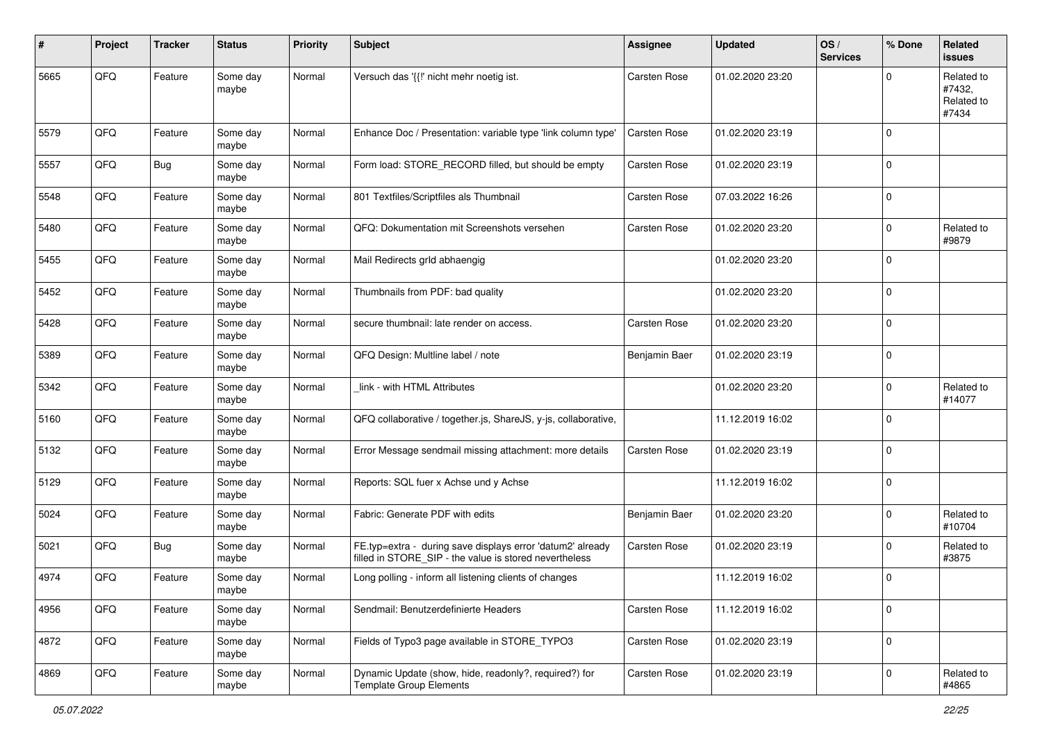| #    | Project | <b>Tracker</b> | <b>Status</b>     | <b>Priority</b> | <b>Subject</b>                                                                                                       | <b>Assignee</b> | <b>Updated</b>   | OS/<br><b>Services</b> | % Done      | Related<br>issues                           |
|------|---------|----------------|-------------------|-----------------|----------------------------------------------------------------------------------------------------------------------|-----------------|------------------|------------------------|-------------|---------------------------------------------|
| 5665 | QFQ     | Feature        | Some day<br>maybe | Normal          | Versuch das '{{!' nicht mehr noetig ist.                                                                             | Carsten Rose    | 01.02.2020 23:20 |                        | $\Omega$    | Related to<br>#7432,<br>Related to<br>#7434 |
| 5579 | QFQ     | Feature        | Some day<br>maybe | Normal          | Enhance Doc / Presentation: variable type 'link column type'                                                         | Carsten Rose    | 01.02.2020 23:19 |                        | $\Omega$    |                                             |
| 5557 | QFQ     | <b>Bug</b>     | Some day<br>maybe | Normal          | Form load: STORE_RECORD filled, but should be empty                                                                  | Carsten Rose    | 01.02.2020 23:19 |                        | $\Omega$    |                                             |
| 5548 | QFQ     | Feature        | Some day<br>maybe | Normal          | 801 Textfiles/Scriptfiles als Thumbnail                                                                              | Carsten Rose    | 07.03.2022 16:26 |                        | $\mathbf 0$ |                                             |
| 5480 | QFQ     | Feature        | Some day<br>maybe | Normal          | QFQ: Dokumentation mit Screenshots versehen                                                                          | Carsten Rose    | 01.02.2020 23:20 |                        | $\Omega$    | Related to<br>#9879                         |
| 5455 | QFQ     | Feature        | Some day<br>maybe | Normal          | Mail Redirects grld abhaengig                                                                                        |                 | 01.02.2020 23:20 |                        | $\Omega$    |                                             |
| 5452 | QFQ     | Feature        | Some day<br>maybe | Normal          | Thumbnails from PDF: bad quality                                                                                     |                 | 01.02.2020 23:20 |                        | $\Omega$    |                                             |
| 5428 | QFQ     | Feature        | Some day<br>maybe | Normal          | secure thumbnail: late render on access.                                                                             | Carsten Rose    | 01.02.2020 23:20 |                        | $\Omega$    |                                             |
| 5389 | QFQ     | Feature        | Some day<br>maybe | Normal          | QFQ Design: Multline label / note                                                                                    | Benjamin Baer   | 01.02.2020 23:19 |                        | $\Omega$    |                                             |
| 5342 | QFQ     | Feature        | Some day<br>maybe | Normal          | link - with HTML Attributes                                                                                          |                 | 01.02.2020 23:20 |                        | $\Omega$    | Related to<br>#14077                        |
| 5160 | QFQ     | Feature        | Some day<br>maybe | Normal          | QFQ collaborative / together.js, ShareJS, y-js, collaborative,                                                       |                 | 11.12.2019 16:02 |                        | $\Omega$    |                                             |
| 5132 | QFQ     | Feature        | Some day<br>maybe | Normal          | Error Message sendmail missing attachment: more details                                                              | Carsten Rose    | 01.02.2020 23:19 |                        | $\Omega$    |                                             |
| 5129 | QFQ     | Feature        | Some day<br>maybe | Normal          | Reports: SQL fuer x Achse und y Achse                                                                                |                 | 11.12.2019 16:02 |                        | $\Omega$    |                                             |
| 5024 | QFQ     | Feature        | Some day<br>maybe | Normal          | Fabric: Generate PDF with edits                                                                                      | Benjamin Baer   | 01.02.2020 23:20 |                        | $\Omega$    | Related to<br>#10704                        |
| 5021 | QFQ     | Bug            | Some day<br>maybe | Normal          | FE.typ=extra - during save displays error 'datum2' already<br>filled in STORE SIP - the value is stored nevertheless | Carsten Rose    | 01.02.2020 23:19 |                        | $\Omega$    | Related to<br>#3875                         |
| 4974 | QFQ     | Feature        | Some day<br>maybe | Normal          | Long polling - inform all listening clients of changes                                                               |                 | 11.12.2019 16:02 |                        | $\Omega$    |                                             |
| 4956 | QFQ     | Feature        | Some day<br>maybe | Normal          | Sendmail: Benutzerdefinierte Headers                                                                                 | Carsten Rose    | 11.12.2019 16:02 |                        | $\mathbf 0$ |                                             |
| 4872 | QFQ     | Feature        | Some day<br>maybe | Normal          | Fields of Typo3 page available in STORE_TYPO3                                                                        | Carsten Rose    | 01.02.2020 23:19 |                        | $\mathbf 0$ |                                             |
| 4869 | QFQ     | Feature        | Some day<br>maybe | Normal          | Dynamic Update (show, hide, readonly?, required?) for<br><b>Template Group Elements</b>                              | Carsten Rose    | 01.02.2020 23:19 |                        | $\pmb{0}$   | Related to<br>#4865                         |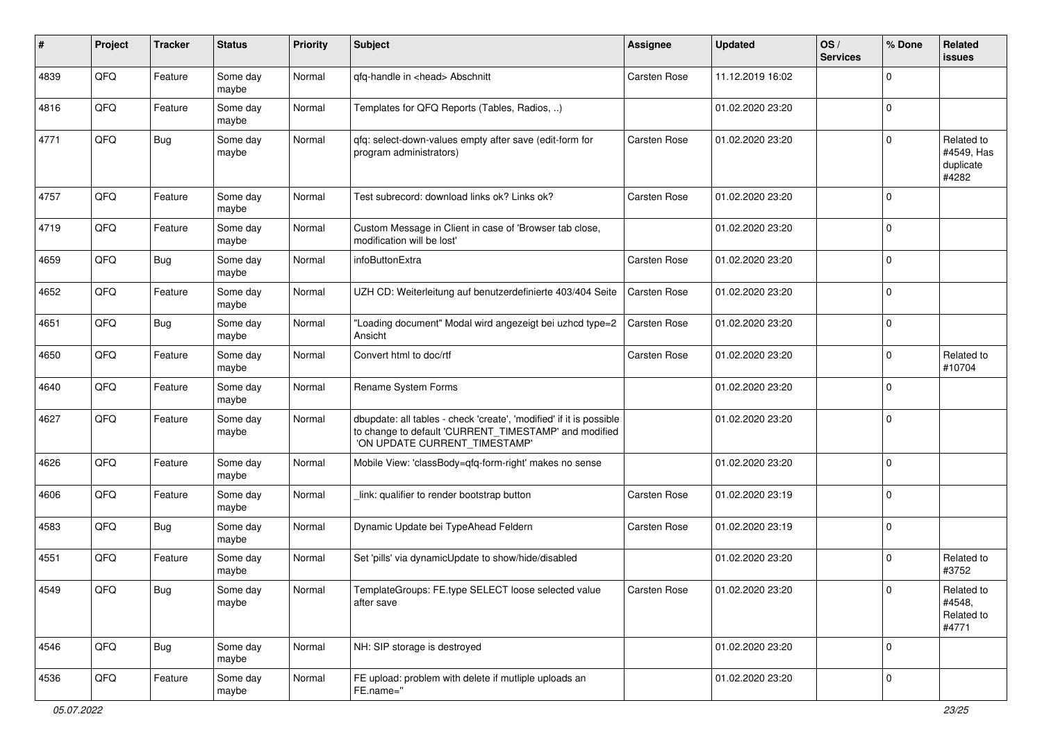| #    | Project        | <b>Tracker</b> | <b>Status</b>     | <b>Priority</b> | <b>Subject</b>                                                                                                                                                | <b>Assignee</b> | <b>Updated</b>   | OS/<br><b>Services</b> | % Done      | Related<br>issues                              |
|------|----------------|----------------|-------------------|-----------------|---------------------------------------------------------------------------------------------------------------------------------------------------------------|-----------------|------------------|------------------------|-------------|------------------------------------------------|
| 4839 | QFQ            | Feature        | Some day<br>maybe | Normal          | qfq-handle in <head> Abschnitt</head>                                                                                                                         | Carsten Rose    | 11.12.2019 16:02 |                        | $\Omega$    |                                                |
| 4816 | QFQ            | Feature        | Some day<br>maybe | Normal          | Templates for QFQ Reports (Tables, Radios, )                                                                                                                  |                 | 01.02.2020 23:20 |                        | $\Omega$    |                                                |
| 4771 | QFQ            | Bug            | Some day<br>maybe | Normal          | qfq: select-down-values empty after save (edit-form for<br>program administrators)                                                                            | Carsten Rose    | 01.02.2020 23:20 |                        | $\mathbf 0$ | Related to<br>#4549, Has<br>duplicate<br>#4282 |
| 4757 | QFQ            | Feature        | Some day<br>maybe | Normal          | Test subrecord: download links ok? Links ok?                                                                                                                  | Carsten Rose    | 01.02.2020 23:20 |                        | $\Omega$    |                                                |
| 4719 | QFQ            | Feature        | Some day<br>maybe | Normal          | Custom Message in Client in case of 'Browser tab close,<br>modification will be lost'                                                                         |                 | 01.02.2020 23:20 |                        | $\Omega$    |                                                |
| 4659 | QFQ            | <b>Bug</b>     | Some day<br>maybe | Normal          | infoButtonExtra                                                                                                                                               | Carsten Rose    | 01.02.2020 23:20 |                        | $\Omega$    |                                                |
| 4652 | QFQ            | Feature        | Some day<br>maybe | Normal          | UZH CD: Weiterleitung auf benutzerdefinierte 403/404 Seite                                                                                                    | Carsten Rose    | 01.02.2020 23:20 |                        | 0           |                                                |
| 4651 | QFQ            | Bug            | Some day<br>maybe | Normal          | 'Loading document" Modal wird angezeigt bei uzhcd type=2<br>Ansicht                                                                                           | Carsten Rose    | 01.02.2020 23:20 |                        | $\mathbf 0$ |                                                |
| 4650 | QFQ            | Feature        | Some day<br>maybe | Normal          | Convert html to doc/rtf                                                                                                                                       | Carsten Rose    | 01.02.2020 23:20 |                        | $\Omega$    | Related to<br>#10704                           |
| 4640 | QFQ            | Feature        | Some day<br>maybe | Normal          | Rename System Forms                                                                                                                                           |                 | 01.02.2020 23:20 |                        | $\Omega$    |                                                |
| 4627 | QFQ            | Feature        | Some day<br>maybe | Normal          | dbupdate: all tables - check 'create', 'modified' if it is possible<br>to change to default 'CURRENT_TIMESTAMP' and modified<br>'ON UPDATE CURRENT_TIMESTAMP' |                 | 01.02.2020 23:20 |                        | $\Omega$    |                                                |
| 4626 | QFQ            | Feature        | Some day<br>maybe | Normal          | Mobile View: 'classBody=qfq-form-right' makes no sense                                                                                                        |                 | 01.02.2020 23:20 |                        | $\Omega$    |                                                |
| 4606 | QFQ            | Feature        | Some day<br>maybe | Normal          | link: qualifier to render bootstrap button                                                                                                                    | Carsten Rose    | 01.02.2020 23:19 |                        | 0           |                                                |
| 4583 | QFQ            | <b>Bug</b>     | Some day<br>maybe | Normal          | Dynamic Update bei TypeAhead Feldern                                                                                                                          | Carsten Rose    | 01.02.2020 23:19 |                        | $\Omega$    |                                                |
| 4551 | QFQ            | Feature        | Some day<br>maybe | Normal          | Set 'pills' via dynamicUpdate to show/hide/disabled                                                                                                           |                 | 01.02.2020 23:20 |                        | 0           | Related to<br>#3752                            |
| 4549 | $\mathsf{QFQ}$ | Bug            | Some day<br>maybe | Normal          | TemplateGroups: FE.type SELECT loose selected value<br>after save                                                                                             | Carsten Rose    | 01.02.2020 23:20 |                        |             | Related to<br>#4548,<br>Related to<br>#4771    |
| 4546 | QFQ            | Bug            | Some day<br>maybe | Normal          | NH: SIP storage is destroyed                                                                                                                                  |                 | 01.02.2020 23:20 |                        | $\mathbf 0$ |                                                |
| 4536 | QFQ            | Feature        | Some day<br>maybe | Normal          | FE upload: problem with delete if mutliple uploads an<br>FE.name="                                                                                            |                 | 01.02.2020 23:20 |                        | $\mathbf 0$ |                                                |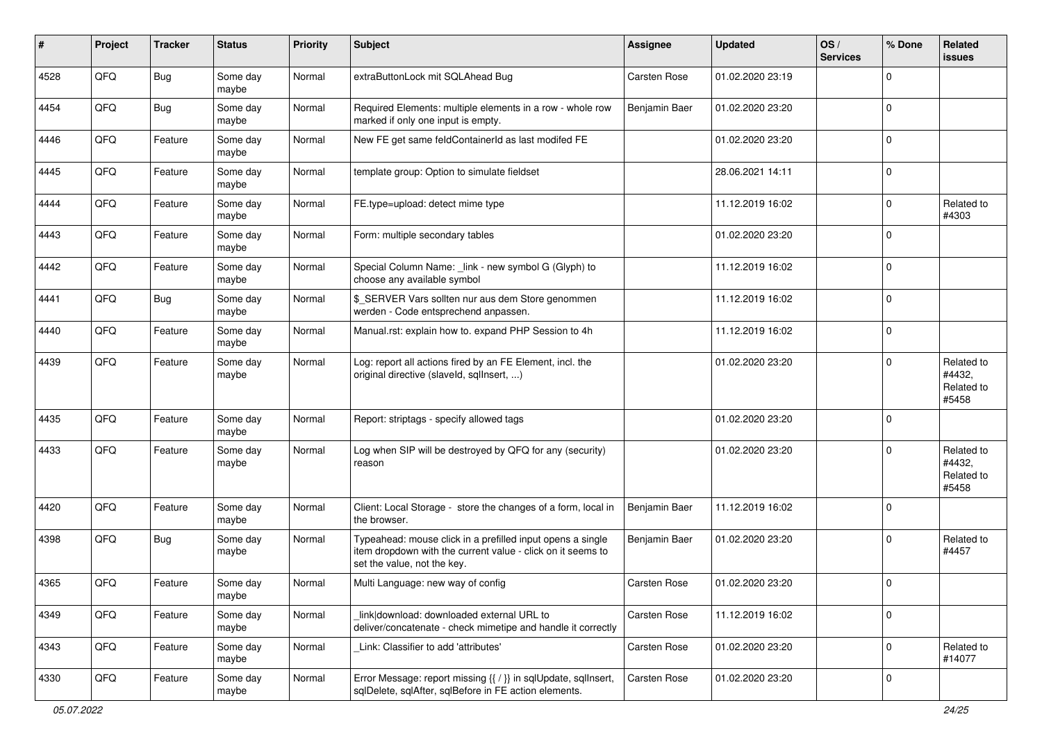| #    | Project | <b>Tracker</b> | <b>Status</b>     | <b>Priority</b> | <b>Subject</b>                                                                                                                                           | <b>Assignee</b>     | <b>Updated</b>   | OS/<br><b>Services</b> | % Done         | Related<br>issues                           |
|------|---------|----------------|-------------------|-----------------|----------------------------------------------------------------------------------------------------------------------------------------------------------|---------------------|------------------|------------------------|----------------|---------------------------------------------|
| 4528 | QFQ     | <b>Bug</b>     | Some day<br>maybe | Normal          | extraButtonLock mit SQLAhead Bug                                                                                                                         | Carsten Rose        | 01.02.2020 23:19 |                        | 0              |                                             |
| 4454 | QFQ     | Bug            | Some day<br>maybe | Normal          | Required Elements: multiple elements in a row - whole row<br>marked if only one input is empty.                                                          | Benjamin Baer       | 01.02.2020 23:20 |                        | $\mathbf 0$    |                                             |
| 4446 | QFQ     | Feature        | Some day<br>maybe | Normal          | New FE get same feldContainerId as last modifed FE                                                                                                       |                     | 01.02.2020 23:20 |                        | $\Omega$       |                                             |
| 4445 | QFQ     | Feature        | Some day<br>maybe | Normal          | template group: Option to simulate fieldset                                                                                                              |                     | 28.06.2021 14:11 |                        | 0              |                                             |
| 4444 | QFQ     | Feature        | Some day<br>maybe | Normal          | FE.type=upload: detect mime type                                                                                                                         |                     | 11.12.2019 16:02 |                        | $\mathbf 0$    | Related to<br>#4303                         |
| 4443 | QFQ     | Feature        | Some day<br>maybe | Normal          | Form: multiple secondary tables                                                                                                                          |                     | 01.02.2020 23:20 |                        | $\mathbf 0$    |                                             |
| 4442 | QFQ     | Feature        | Some day<br>maybe | Normal          | Special Column Name: _link - new symbol G (Glyph) to<br>choose any available symbol                                                                      |                     | 11.12.2019 16:02 |                        | $\overline{0}$ |                                             |
| 4441 | QFQ     | Bug            | Some day<br>maybe | Normal          | \$ SERVER Vars sollten nur aus dem Store genommen<br>werden - Code entsprechend anpassen.                                                                |                     | 11.12.2019 16:02 |                        | 0              |                                             |
| 4440 | QFQ     | Feature        | Some day<br>maybe | Normal          | Manual.rst: explain how to. expand PHP Session to 4h                                                                                                     |                     | 11.12.2019 16:02 |                        | $\mathbf 0$    |                                             |
| 4439 | QFQ     | Feature        | Some day<br>maybe | Normal          | Log: report all actions fired by an FE Element, incl. the<br>original directive (slaveld, sqlInsert, )                                                   |                     | 01.02.2020 23:20 |                        | 0              | Related to<br>#4432,<br>Related to<br>#5458 |
| 4435 | QFQ     | Feature        | Some day<br>maybe | Normal          | Report: striptags - specify allowed tags                                                                                                                 |                     | 01.02.2020 23:20 |                        | $\mathbf 0$    |                                             |
| 4433 | QFQ     | Feature        | Some day<br>maybe | Normal          | Log when SIP will be destroyed by QFQ for any (security)<br>reason                                                                                       |                     | 01.02.2020 23:20 |                        | $\Omega$       | Related to<br>#4432,<br>Related to<br>#5458 |
| 4420 | QFQ     | Feature        | Some day<br>maybe | Normal          | Client: Local Storage - store the changes of a form, local in<br>the browser.                                                                            | Benjamin Baer       | 11.12.2019 16:02 |                        | $\mathbf 0$    |                                             |
| 4398 | QFQ     | <b>Bug</b>     | Some day<br>maybe | Normal          | Typeahead: mouse click in a prefilled input opens a single<br>item dropdown with the current value - click on it seems to<br>set the value, not the key. | Benjamin Baer       | 01.02.2020 23:20 |                        | 0              | Related to<br>#4457                         |
| 4365 | QFQ     | Feature        | Some day<br>maybe | Normal          | Multi Language: new way of config                                                                                                                        | <b>Carsten Rose</b> | 01.02.2020 23:20 |                        | 0              |                                             |
| 4349 | QFQ     | Feature        | Some day<br>maybe | Normal          | link download: downloaded external URL to<br>deliver/concatenate - check mimetipe and handle it correctly                                                | Carsten Rose        | 11.12.2019 16:02 |                        | 0              |                                             |
| 4343 | QFQ     | Feature        | Some day<br>maybe | Normal          | Link: Classifier to add 'attributes'                                                                                                                     | Carsten Rose        | 01.02.2020 23:20 |                        | $\pmb{0}$      | Related to<br>#14077                        |
| 4330 | QFQ     | Feature        | Some day<br>maybe | Normal          | Error Message: report missing {{ / }} in sqlUpdate, sqlInsert,<br>sqlDelete, sqlAfter, sqlBefore in FE action elements.                                  | Carsten Rose        | 01.02.2020 23:20 |                        | $\pmb{0}$      |                                             |